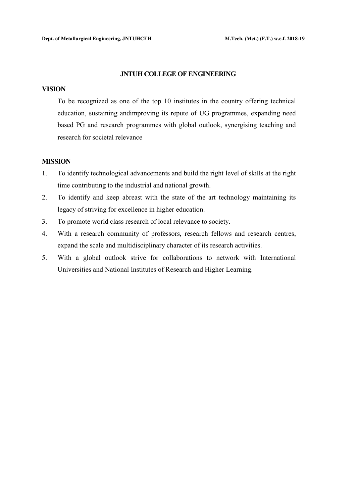#### JNTUH COLLEGE OF ENGINEERING

#### VISION

 To be recognized as one of the top 10 institutes in the country offering technical education, sustaining andimproving its repute of UG programmes, expanding need based PG and research programmes with global outlook, synergising teaching and research for societal relevance

#### **MISSION**

- 1. To identify technological advancements and build the right level of skills at the right time contributing to the industrial and national growth.
- 2. To identify and keep abreast with the state of the art technology maintaining its legacy of striving for excellence in higher education.
- 3. To promote world class research of local relevance to society.
- 4. With a research community of professors, research fellows and research centres, expand the scale and multidisciplinary character of its research activities.
- 5. With a global outlook strive for collaborations to network with International Universities and National Institutes of Research and Higher Learning.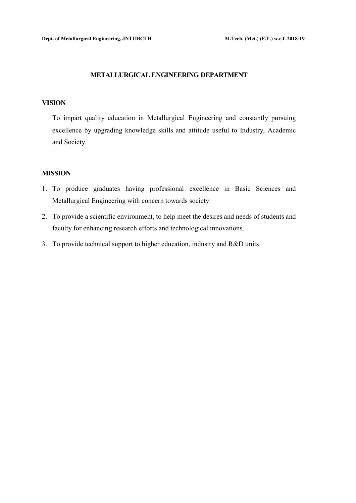#### METALLURGICAL ENGINEERING DEPARTMENT

#### **VISION**

To impart quality education in Metallurgical Engineering and constantly pursuing excellence by upgrading knowledge skills and attitude useful to Industry, Academic and Society.

#### MISSION

- 1. To produce graduates having professional excellence in Basic Sciences and Metallurgical Engineering with concern towards society
- 2. To provide a scientific environment, to help meet the desires and needs of students and faculty for enhancing research efforts and technological innovations.
- 3. To provide technical support to higher education, industry and R&D units.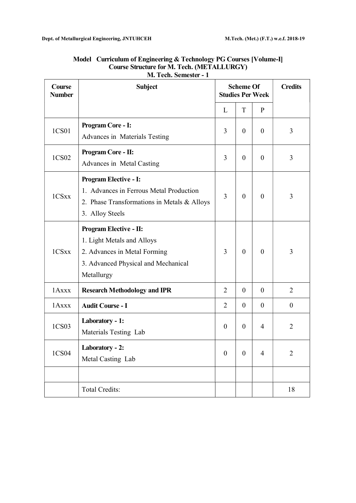| <b>Course</b><br><b>Number</b> | <b>Subject</b>                                                                                                                                   | <b>Studies Per Week</b> | <b>Scheme Of</b> | <b>Credits</b> |                |
|--------------------------------|--------------------------------------------------------------------------------------------------------------------------------------------------|-------------------------|------------------|----------------|----------------|
|                                |                                                                                                                                                  | L                       | T                | $\mathbf{P}$   |                |
| 1CS01                          | <b>Program Core - I:</b><br>Advances in Materials Testing                                                                                        | 3                       | $\theta$         | $\theta$       | 3              |
| 1CS02                          | <b>Program Core - II:</b><br>Advances in Metal Casting                                                                                           | $\overline{3}$          | $\theta$         | $\theta$       | 3              |
| 1CSxx                          | <b>Program Elective - I:</b><br>1. Advances in Ferrous Metal Production<br>2. Phase Transformations in Metals & Alloys<br>3. Alloy Steels        | $\overline{3}$          | $\mathbf{0}$     | $\mathbf{0}$   | 3              |
| 1CSxx                          | <b>Program Elective - II:</b><br>1. Light Metals and Alloys<br>2. Advances in Metal Forming<br>3. Advanced Physical and Mechanical<br>Metallurgy | $\overline{3}$          | $\theta$         | $\mathbf{0}$   | 3              |
| 1Axxx                          | <b>Research Methodology and IPR</b>                                                                                                              | $\overline{2}$          | $\overline{0}$   | $\overline{0}$ | $\overline{2}$ |
| 1Axxx                          | <b>Audit Course - I</b>                                                                                                                          | $\overline{2}$          | $\overline{0}$   | $\overline{0}$ | $\overline{0}$ |
| 1CS03                          | Laboratory - 1:<br>Materials Testing Lab                                                                                                         | $\theta$                | $\theta$         | $\overline{4}$ | $\overline{2}$ |
| 1CS04                          | Laboratory - 2:<br>Metal Casting Lab                                                                                                             | $\boldsymbol{0}$        | $\boldsymbol{0}$ | $\overline{4}$ | $\overline{2}$ |
|                                |                                                                                                                                                  |                         |                  |                |                |
|                                | <b>Total Credits:</b>                                                                                                                            |                         |                  |                | 18             |

## Model Curriculum of Engineering & Technology PG Courses [Volume-I] Course Structure for M. Tech. (METALLURGY) M. Tech. Semester - 1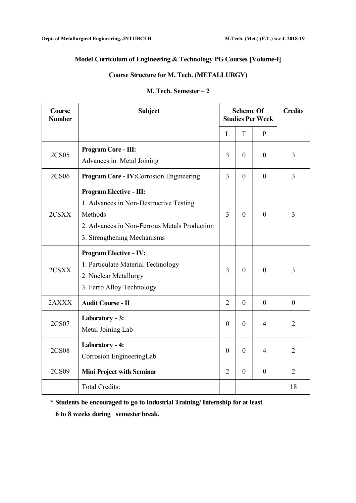## Model Curriculum of Engineering & Technology PG Courses [Volume-I]

## Course Structure for M. Tech. (METALLURGY)

| Course<br><b>Number</b> | <b>Subject</b>                                                                                                                                                     |                | <b>Scheme Of</b><br><b>Studies Per Week</b> | <b>Credits</b>   |                  |
|-------------------------|--------------------------------------------------------------------------------------------------------------------------------------------------------------------|----------------|---------------------------------------------|------------------|------------------|
|                         |                                                                                                                                                                    | L              | T                                           | $\mathbf{P}$     |                  |
| 2CS05                   | <b>Program Core - III:</b><br>Advances in Metal Joining                                                                                                            | 3              | $\theta$                                    | $\theta$         | 3                |
| 2CS06                   | <b>Program Core - IV: Corrosion Engineering</b>                                                                                                                    | $\overline{3}$ | $\mathbf{0}$                                | $\boldsymbol{0}$ | 3                |
| 2CSXX                   | <b>Program Elective - III:</b><br>1. Advances in Non-Destructive Testing<br>Methods<br>2. Advances in Non-Ferrous Metals Production<br>3. Strengthening Mechanisms | 3              | $\mathbf{0}$                                | $\theta$         | 3                |
| 2CSXX                   | <b>Program Elective - IV:</b><br>1. Particulate Material Technology<br>2. Nuclear Metallurgy<br>3. Ferro Alloy Technology                                          | 3              | $\mathbf{0}$                                | $\Omega$         | 3                |
| 2AXXX                   | <b>Audit Course - II</b>                                                                                                                                           | $\overline{2}$ | $\theta$                                    | $\theta$         | $\boldsymbol{0}$ |
| 2CS07                   | Laboratory - 3:<br>Metal Joining Lab                                                                                                                               | $\theta$       | $\mathbf{0}$                                | $\overline{4}$   | $\overline{2}$   |
| <b>2CS08</b>            | Laboratory - 4:<br>Corrosion EngineeringLab                                                                                                                        | $\theta$       | $\theta$                                    | 4                | $\overline{2}$   |
| 2CS09                   | <b>Mini Project with Seminar</b>                                                                                                                                   | $\overline{2}$ | $\theta$                                    | $\theta$         | $\overline{2}$   |
|                         | <b>Total Credits:</b>                                                                                                                                              |                |                                             |                  | 18               |

#### M. Tech. Semester – 2

\* Students be encouraged to go to Industrial Training/ Internship for at least

6 to 8 weeks during semester break.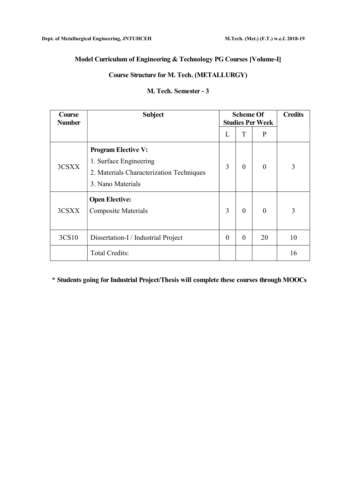## Model Curriculum of Engineering & Technology PG Courses [Volume-I]

## Course Structure for M. Tech. (METALLURGY)

| Course        | <b>Subject</b>                           |                | <b>Scheme Of</b> |                         | <b>Credits</b> |
|---------------|------------------------------------------|----------------|------------------|-------------------------|----------------|
| <b>Number</b> |                                          |                |                  | <b>Studies Per Week</b> |                |
|               |                                          | L              | T                | $\mathbf{P}$            |                |
|               | <b>Program Elective V:</b>               |                |                  |                         |                |
| 3CSXX         | 1. Surface Engineering                   | 3              | $\Omega$         | $\theta$                | 3              |
|               | 2. Materials Characterization Techniques |                |                  |                         |                |
|               | 3. Nano Materials                        |                |                  |                         |                |
|               | <b>Open Elective:</b>                    |                |                  |                         |                |
| 3CSXX         | <b>Composite Materials</b>               | $\overline{3}$ | $\Omega$         | $\theta$                | 3              |
|               |                                          |                |                  |                         |                |
| 3CS10         | Dissertation-I / Industrial Project      | 0              | $\Omega$         | 20                      | 10             |
|               | <b>Total Credits:</b>                    |                |                  |                         | 16             |

## M. Tech. Semester - 3

\* Students going for Industrial Project/Thesis will complete these courses through MOOCs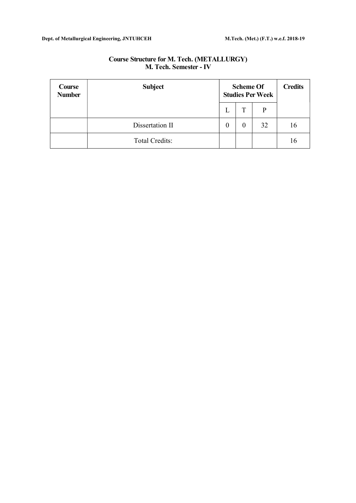## Dept. of Metallurgical Engineering, JNTUHCEH M.Tech. (Met.) (F.T.) w.e.f. 2018-19

| <b>Course</b><br><b>Number</b> | <b>Subject</b>        | <b>Scheme Of</b><br><b>Studies Per Week</b> |          |    | <b>Credits</b> |
|--------------------------------|-----------------------|---------------------------------------------|----------|----|----------------|
|                                |                       | L                                           | T        | P  |                |
|                                | Dissertation II       | $\boldsymbol{0}$                            | $\theta$ | 32 | 16             |
|                                | <b>Total Credits:</b> |                                             |          |    | 16             |

#### Course Structure for M. Tech. (METALLURGY) M. Tech. Semester - IV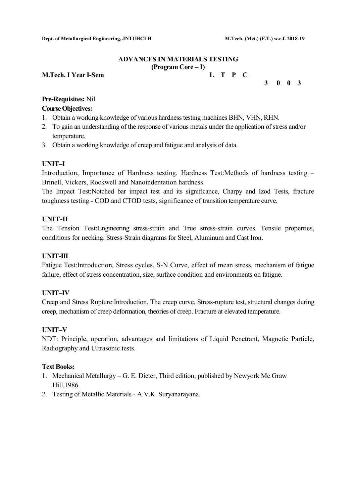## ADVANCES IN MATERIALS TESTING (Program Core – I)

#### M.Tech. I Year I-Sem L T P C

3 0 0 3

#### Pre-Requisites: Nil

## Course Objectives:

- 1. Obtain a working knowledge of various hardness testing machines BHN, VHN, RHN.
- 2. To gain an understanding of the response of various metals under the application of stress and/or temperature.
- 3. Obtain a working knowledge of creep and fatigue and analysis of data.

#### UNIT–I

Introduction, Importance of Hardness testing. Hardness Test:Methods of hardness testing – Brinell, Vickers, Rockwell and Nanoindentation hardness.

The Impact Test:Notched bar impact test and its significance, Charpy and Izod Tests, fracture toughness testing - COD and CTOD tests, significance of transition temperature curve.

#### UNIT-II

The Tension Test:Engineering stress-strain and True stress-strain curves. Tensile properties, conditions for necking. Stress-Strain diagrams for Steel, Aluminum and Cast Iron.

#### UNIT-III

Fatigue Test:Introduction, Stress cycles, S-N Curve, effect of mean stress, mechanism of fatigue failure, effect of stress concentration, size, surface condition and environments on fatigue.

#### UNIT–IV

Creep and Stress Rupture:Introduction, The creep curve, Stress-rupture test, structural changes during creep, mechanism of creep deformation, theories of creep. Fracture at elevated temperature.

#### UNIT–V

NDT: Principle, operation, advantages and limitations of Liquid Penetrant, Magnetic Particle, Radiography and Ultrasonic tests.

#### Text Books:

- 1. Mechanical Metallurgy G. E. Dieter, Third edition, published by Newyork Mc Graw Hill,1986.
- 2. Testing of Metallic Materials A.V.K. Suryanarayana.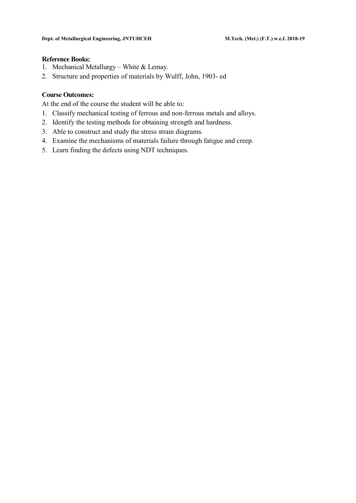#### Reference Books:

- 1. Mechanical Metallurgy White & Lemay.
- 2. Structure and properties of materials by Wulff, John, 1903- ed

#### Course Outcomes:

At the end of the course the student will be able to:

- 1. Classify mechanical testing of ferrous and non-ferrous metals and alloys.
- 2. Identify the testing methods for obtaining strength and hardness.
- 3. Able to construct and study the stress strain diagrams.
- 4. Examine the mechanisms of materials failure through fatigue and creep.
- 5. Learn finding the defects using NDT techniques.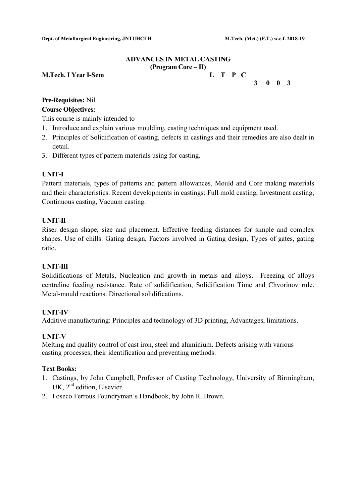## ADVANCES IN METAL CASTING (Program Core – II)

M.Tech. I Year I-Sem L T P C

3 0 0 3

## Pre-Requisites: Nil

## Course Objectives:

This course is mainly intended to

- 1. Introduce and explain various moulding, casting techniques and equipment used.
- 2. Principles of Solidification of casting, defects in castings and their remedies are also dealt in detail.
- 3. Different types of pattern materials using for casting.

## UNIT-I

Pattern materials, types of patterns and pattern allowances, Mould and Core making materials and their characteristics. Recent developments in castings: Full mold casting, Investment casting, Continuous casting, Vacuum casting.

## UNIT-II

Riser design shape, size and placement. Effective feeding distances for simple and complex shapes. Use of chills. Gating design, Factors involved in Gating design, Types of gates, gating ratio.

## UNIT-III

Solidifications of Metals, Nucleation and growth in metals and alloys. Freezing of alloys centreline feeding resistance. Rate of solidification, Solidification Time and Chvorinov rule. Metal-mould reactions. Directional solidifications.

## UNIT-IV

Additive manufacturing: Principles and technology of 3D printing, Advantages, limitations.

## UNIT-V

Melting and quality control of cast iron, steel and aluminium. Defects arising with various casting processes, their identification and preventing methods.

#### Text Books:

- 1. Castings, by John Campbell, Professor of Casting Technology, University of Birmingham, UK, 2<sup>nd</sup> edition, Elsevier.
- 2. Foseco Ferrous Foundryman's Handbook, by John R. Brown.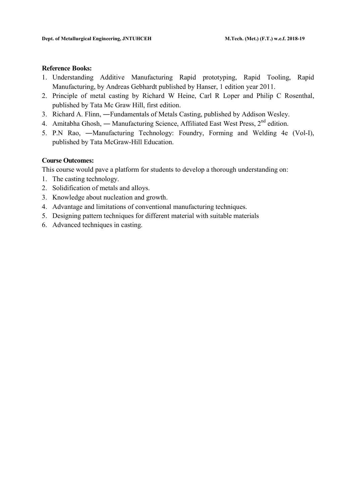#### Reference Books:

- 1. Understanding Additive Manufacturing Rapid prototyping, Rapid Tooling, Rapid Manufacturing, by Andreas Gebhardt published by Hanser, 1 edition year 2011.
- 2. Principle of metal casting by Richard W Heine, Carl R Loper and Philip C Rosenthal, published by Tata Mc Graw Hill, first edition.
- 3. Richard A. Flinn, ―Fundamentals of Metals Casting, published by Addison Wesley.
- 4. Amitabha Ghosh, Manufacturing Science, Affiliated East West Press, 2<sup>nd</sup> edition.
- 5. P.N Rao, ―Manufacturing Technology: Foundry, Forming and Welding 4e (Vol-I), published by Tata McGraw-Hill Education.

#### Course Outcomes:

This course would pave a platform for students to develop a thorough understanding on:

- 1. The casting technology.
- 2. Solidification of metals and alloys.
- 3. Knowledge about nucleation and growth.
- 4. Advantage and limitations of conventional manufacturing techniques.
- 5. Designing pattern techniques for different material with suitable materials
- 6. Advanced techniques in casting.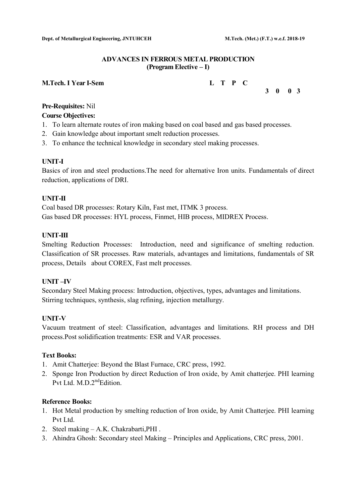#### ADVANCES IN FERROUS METAL PRODUCTION (Program Elective – I)

## M.Tech. I Year I-Sem L T P C

3 0 0 3

## Pre-Requisites: Nil

## Course Objectives:

- 1. To learn alternate routes of iron making based on coal based and gas based processes.
- 2. Gain knowledge about important smelt reduction processes.
- 3. To enhance the technical knowledge in secondary steel making processes.

#### UNIT-I

Basics of iron and steel productions.The need for alternative Iron units. Fundamentals of direct reduction, applications of DRI.

## UNIT-II

Coal based DR processes: Rotary Kiln, Fast met, ITMK 3 process. Gas based DR processes: HYL process, Finmet, HIB process, MIDREX Process.

## UNIT-III

Smelting Reduction Processes: Introduction, need and significance of smelting reduction. Classification of SR processes. Raw materials, advantages and limitations, fundamentals of SR process, Details about COREX, Fast melt processes.

#### UNIT –IV

Secondary Steel Making process: Introduction, objectives, types, advantages and limitations. Stirring techniques, synthesis, slag refining, injection metallurgy.

## UNIT-V

Vacuum treatment of steel: Classification, advantages and limitations. RH process and DH process.Post solidification treatments: ESR and VAR processes.

#### Text Books:

- 1. Amit Chatterjee: Beyond the Blast Furnace, CRC press, 1992.
- 2. Sponge Iron Production by direct Reduction of Iron oxide, by Amit chatterjee. PHI learning Pvt Ltd. M.D.2<sup>nd</sup>Edition.

#### Reference Books:

- 1. Hot Metal production by smelting reduction of Iron oxide, by Amit Chatterjee. PHI learning Pvt Ltd.
- 2. Steel making A.K. Chakrabarti,PHI .
- 3. Ahindra Ghosh: Secondary steel Making Principles and Applications, CRC press, 2001.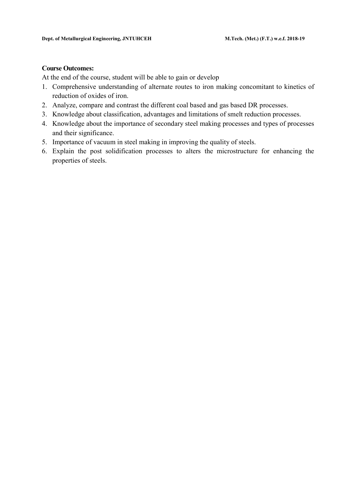#### Course Outcomes:

At the end of the course, student will be able to gain or develop

- 1. Comprehensive understanding of alternate routes to iron making concomitant to kinetics of reduction of oxides of iron.
- 2. Analyze, compare and contrast the different coal based and gas based DR processes.
- 3. Knowledge about classification, advantages and limitations of smelt reduction processes.
- 4. Knowledge about the importance of secondary steel making processes and types of processes and their significance.
- 5. Importance of vacuum in steel making in improving the quality of steels.
- 6. Explain the post solidification processes to alters the microstructure for enhancing the properties of steels.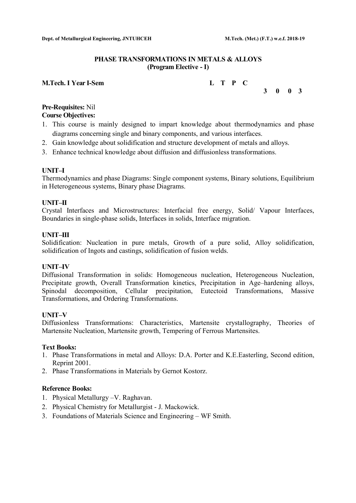#### PHASE TRANSFORMATIONS IN METALS & ALLOYS (Program Elective - I)

# M.Tech. I Year I-Sem L T P C

3 0 0 3

#### Pre-Requisites: Nil Course Objectives:

- 1. This course is mainly designed to impart knowledge about thermodynamics and phase diagrams concerning single and binary components, and various interfaces.
- 2. Gain knowledge about solidification and structure development of metals and alloys.
- 3. Enhance technical knowledge about diffusion and diffusionless transformations.

#### UNIT–I

Thermodynamics and phase Diagrams: Single component systems, Binary solutions, Equilibrium in Heterogeneous systems, Binary phase Diagrams.

#### UNIT–II

Crystal Interfaces and Microstructures: Interfacial free energy, Solid/ Vapour Interfaces, Boundaries in single-phase solids, Interfaces in solids, Interface migration.

#### UNIT–III

Solidification: Nucleation in pure metals, Growth of a pure solid, Alloy solidification, solidification of Ingots and castings, solidification of fusion welds.

#### UNIT–IV

Diffusional Transformation in solids: Homogeneous nucleation, Heterogeneous Nucleation, Precipitate growth, Overall Transformation kinetics, Precipitation in Age–hardening alloys, Spinodal decomposition, Cellular precipitation, Eutectoid Transformations, Massive Transformations, and Ordering Transformations.

#### UNIT–V

Diffusionless Transformations: Characteristics, Martensite crystallography, Theories of Martensite Nucleation, Martensite growth, Tempering of Ferrous Martensites.

#### Text Books:

- 1. Phase Transformations in metal and Alloys: D.A. Porter and K.E.Easterling, Second edition, Reprint 2001.
- 2. Phase Transformations in Materials by Gernot Kostorz.

#### Reference Books:

- 1. Physical Metallurgy –V. Raghavan.
- 2. Physical Chemistry for Metallurgist J. Mackowick.
- 3. Foundations of Materials Science and Engineering WF Smith.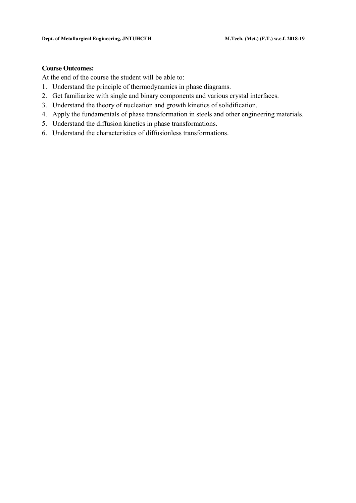### Course Outcomes:

At the end of the course the student will be able to:

- 1. Understand the principle of thermodynamics in phase diagrams.
- 2. Get familiarize with single and binary components and various crystal interfaces.
- 3. Understand the theory of nucleation and growth kinetics of solidification.
- 4. Apply the fundamentals of phase transformation in steels and other engineering materials.
- 5. Understand the diffusion kinetics in phase transformations.
- 6. Understand the characteristics of diffusionless transformations.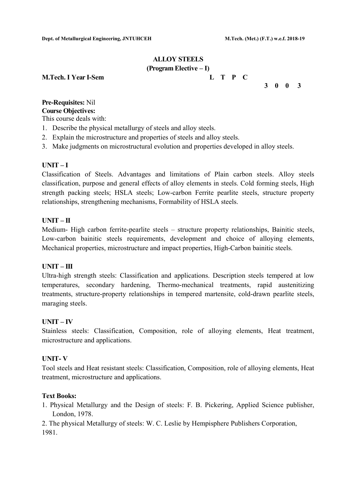## ALLOY STEELS (Program Elective – I)

M.Tech. I Year I-Sem L T P C

3 0 0 3

#### Pre-Requisites: Nil Course Objectives:

This course deals with:

- 1. Describe the physical metallurgy of steels and alloy steels.
- 2. Explain the microstructure and properties of steels and alloy steels.
- 3. Make judgments on microstructural evolution and properties developed in alloy steels.

#### $UNIT-I$

Classification of Steels. Advantages and limitations of Plain carbon steels. Alloy steels classification, purpose and general effects of alloy elements in steels. Cold forming steels, High strength packing steels; HSLA steels; Low-carbon Ferrite pearlite steels, structure property relationships, strengthening mechanisms, Formability of HSLA steels.

#### UNIT – II

Medium- High carbon ferrite-pearlite steels – structure property relationships, Bainitic steels, Low-carbon bainitic steels requirements, development and choice of alloying elements, Mechanical properties, microstructure and impact properties, High-Carbon bainitic steels.

#### UNIT – III

Ultra-high strength steels: Classification and applications. Description steels tempered at low temperatures, secondary hardening, Thermo-mechanical treatments, rapid austenitizing treatments, structure-property relationships in tempered martensite, cold-drawn pearlite steels, maraging steels.

#### UNIT – IV

Stainless steels: Classification, Composition, role of alloying elements, Heat treatment, microstructure and applications.

#### UNIT- V

Tool steels and Heat resistant steels: Classification, Composition, role of alloying elements, Heat treatment, microstructure and applications.

#### Text Books:

1. Physical Metallurgy and the Design of steels: F. B. Pickering, Applied Science publisher, London, 1978.

2. The physical Metallurgy of steels: W. C. Leslie by Hempisphere Publishers Corporation, 1981.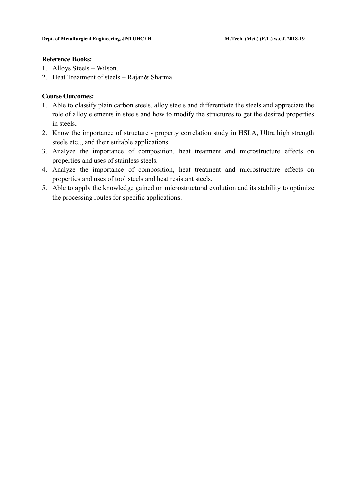#### Reference Books:

- 1. Alloys Steels Wilson.
- 2. Heat Treatment of steels Rajan& Sharma.

#### Course Outcomes:

- 1. Able to classify plain carbon steels, alloy steels and differentiate the steels and appreciate the role of alloy elements in steels and how to modify the structures to get the desired properties in steels.
- 2. Know the importance of structure property correlation study in HSLA, Ultra high strength steels etc.., and their suitable applications.
- 3. Analyze the importance of composition, heat treatment and microstructure effects on properties and uses of stainless steels.
- 4. Analyze the importance of composition, heat treatment and microstructure effects on properties and uses of tool steels and heat resistant steels.
- 5. Able to apply the knowledge gained on microstructural evolution and its stability to optimize the processing routes for specific applications.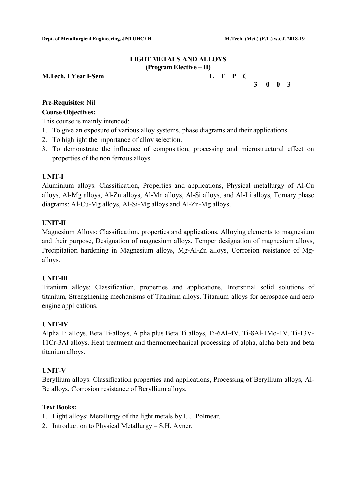## LIGHT METALS AND ALLOYS (Program Elective – II)

M.Tech. I Year I-Sem L C L T P C

3 0 0 3

## Pre-Requisites: Nil

#### Course Objectives:

This course is mainly intended:

- 1. To give an exposure of various alloy systems, phase diagrams and their applications.
- 2. To highlight the importance of alloy selection.
- 3. To demonstrate the influence of composition, processing and microstructural effect on properties of the non ferrous alloys.

## UNIT-I

Aluminium alloys: Classification, Properties and applications, Physical metallurgy of Al-Cu alloys, Al-Mg alloys, Al-Zn alloys, Al-Mn alloys, Al-Si alloys, and Al-Li alloys, Ternary phase diagrams: Al-Cu-Mg alloys, Al-Si-Mg alloys and Al-Zn-Mg alloys.

## UNIT-II

Magnesium Alloys: Classification, properties and applications, Alloying elements to magnesium and their purpose, Designation of magnesium alloys, Temper designation of magnesium alloys, Precipitation hardening in Magnesium alloys, Mg-Al-Zn alloys, Corrosion resistance of Mgalloys.

#### UNIT-III

Titanium alloys: Classification, properties and applications, Interstitial solid solutions of titanium, Strengthening mechanisms of Titanium alloys. Titanium alloys for aerospace and aero engine applications.

## UNIT-IV

Alpha Ti alloys, Beta Ti-alloys, Alpha plus Beta Ti alloys, Ti-6Al-4V, Ti-8Al-1Mo-1V, Ti-13V-11Cr-3Al alloys. Heat treatment and thermomechanical processing of alpha, alpha-beta and beta titanium alloys.

## UNIT-V

Beryllium alloys: Classification properties and applications, Processing of Beryllium alloys, Al-Be alloys, Corrosion resistance of Beryllium alloys.

## Text Books:

- 1. Light alloys: Metallurgy of the light metals by I. J. Polmear.
- 2. Introduction to Physical Metallurgy S.H. Avner.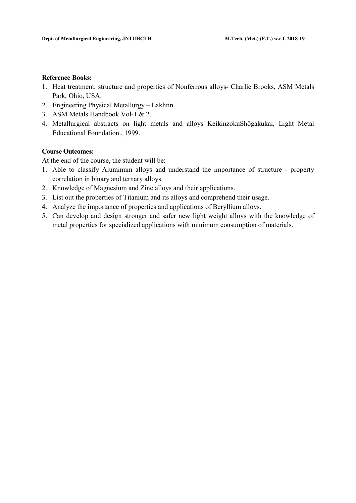#### Reference Books:

- 1. Heat treatment, structure and properties of Nonferrous alloys- Charlie Brooks, ASM Metals Park, Ohio, USA.
- 2. Engineering Physical Metallurgy Lakhtin.
- 3. ASM Metals Handbook Vol-1 & 2.
- 4. Metallurgical abstracts on light metals and alloys KeikinzokuShōgakukai, Light Metal Educational Foundation., 1999.

#### Course Outcomes:

At the end of the course, the student will be:

- 1. Able to classify Aluminum alloys and understand the importance of structure property correlation in binary and ternary alloys.
- 2. Knowledge of Magnesium and Zinc alloys and their applications.
- 3. List out the properties of Titanium and its alloys and comprehend their usage.
- 4. Analyze the importance of properties and applications of Beryllium alloys.
- 5. Can develop and design stronger and safer new light weight alloys with the knowledge of metal properties for specialized applications with minimum consumption of materials.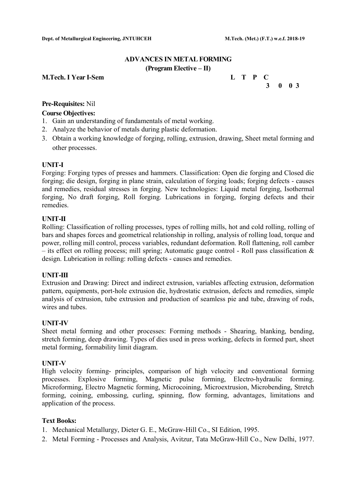## ADVANCES IN METAL FORMING (Program Elective – II)

M.Tech. I Year I-Sem L T P C

3 0 0 3

#### Pre-Requisites: Nil

#### Course Objectives:

- 1. Gain an understanding of fundamentals of metal working.
- 2. Analyze the behavior of metals during plastic deformation.
- 3. Obtain a working knowledge of forging, rolling, extrusion, drawing, Sheet metal forming and other processes.

#### UNIT-I

Forging: Forging types of presses and hammers. Classification: Open die forging and Closed die forging; die design, forging in plane strain, calculation of forging loads; forging defects - causes and remedies, residual stresses in forging. New technologies: Liquid metal forging, Isothermal forging, No draft forging, Roll forging. Lubrications in forging, forging defects and their remedies.

#### UNIT-II

Rolling: Classification of rolling processes, types of rolling mills, hot and cold rolling, rolling of bars and shapes forces and geometrical relationship in rolling, analysis of rolling load, torque and power, rolling mill control, process variables, redundant deformation. Roll flattening, roll camber – its effect on rolling process; mill spring; Automatic gauge control - Roll pass classification  $\&$ design. Lubrication in rolling: rolling defects - causes and remedies.

#### UNIT-III

Extrusion and Drawing: Direct and indirect extrusion, variables affecting extrusion, deformation pattern, equipments, port-hole extrusion die, hydrostatic extrusion, defects and remedies, simple analysis of extrusion, tube extrusion and production of seamless pie and tube, drawing of rods, wires and tubes.

#### UNIT-IV

Sheet metal forming and other processes: Forming methods - Shearing, blanking, bending, stretch forming, deep drawing. Types of dies used in press working, defects in formed part, sheet metal forming, formability limit diagram.

#### UNIT-V

High velocity forming- principles, comparison of high velocity and conventional forming processes. Explosive forming, Magnetic pulse forming, Electro-hydraulic forming. Microforming, Electro Magnetic forming, Microcoining, Microextrusion, Microbending, Stretch forming, coining, embossing, curling, spinning, flow forming, advantages, limitations and application of the process.

#### Text Books:

- 1. Mechanical Metallurgy, Dieter G. E., McGraw-Hill Co., SI Edition, 1995.
- 2. Metal Forming Processes and Analysis, Avitzur, Tata McGraw-Hill Co., New Delhi, 1977.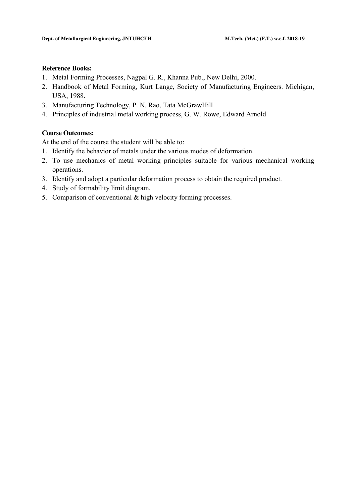#### Reference Books:

- 1. Metal Forming Processes, Nagpal G. R., Khanna Pub., New Delhi, 2000.
- 2. Handbook of Metal Forming, Kurt Lange, Society of Manufacturing Engineers. Michigan, USA, 1988.
- 3. Manufacturing Technology, P. N. Rao, Tata McGrawHill
- 4. Principles of industrial metal working process, G. W. Rowe, Edward Arnold

#### Course Outcomes:

At the end of the course the student will be able to:

- 1. Identify the behavior of metals under the various modes of deformation.
- 2. To use mechanics of metal working principles suitable for various mechanical working operations.
- 3. Identify and adopt a particular deformation process to obtain the required product.
- 4. Study of formability limit diagram.
- 5. Comparison of conventional & high velocity forming processes.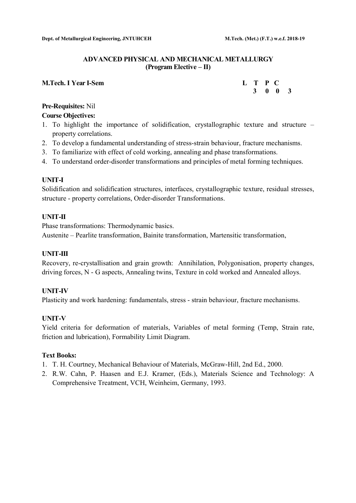#### ADVANCED PHYSICAL AND MECHANICAL METALLURGY (Program Elective – II)

#### M.Tech. I Year I-Sem L T P C

3 0 0 3

## Pre-Requisites: Nil

#### Course Objectives:

- 1. To highlight the importance of solidification, crystallographic texture and structure property correlations.
- 2. To develop a fundamental understanding of stress-strain behaviour, fracture mechanisms.
- 3. To familiarize with effect of cold working, annealing and phase transformations.
- 4. To understand order-disorder transformations and principles of metal forming techniques.

#### UNIT-I

Solidification and solidification structures, interfaces, crystallographic texture, residual stresses, structure - property correlations, Order-disorder Transformations.

#### UNIT-II

Phase transformations: Thermodynamic basics. Austenite – Pearlite transformation, Bainite transformation, Martensitic transformation,

#### UNIT-III

Recovery, re-crystallisation and grain growth: Annihilation, Polygonisation, property changes, driving forces, N - G aspects, Annealing twins, Texture in cold worked and Annealed alloys.

#### UNIT-IV

Plasticity and work hardening: fundamentals, stress - strain behaviour, fracture mechanisms.

#### UNIT-V

Yield criteria for deformation of materials, Variables of metal forming (Temp, Strain rate, friction and lubrication), Formability Limit Diagram.

#### Text Books:

- 1. T. H. Courtney, Mechanical Behaviour of Materials, McGraw-Hill, 2nd Ed., 2000.
- 2. R.W. Cahn, P. Haasen and E.J. Kramer, (Eds.), Materials Science and Technology: A Comprehensive Treatment, VCH, Weinheim, Germany, 1993.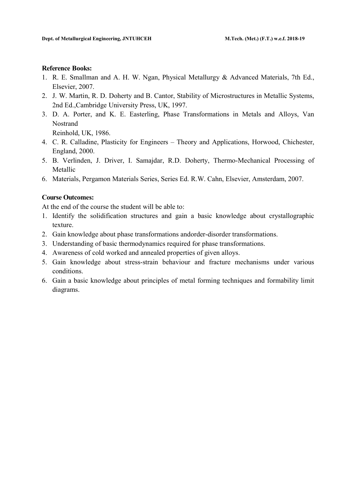#### Reference Books:

- 1. R. E. Smallman and A. H. W. Ngan, Physical Metallurgy & Advanced Materials, 7th Ed., Elsevier, 2007.
- 2. J. W. Martin, R. D. Doherty and B. Cantor, Stability of Microstructures in Metallic Systems, 2nd Ed.,Cambridge University Press, UK, 1997.
- 3. D. A. Porter, and K. E. Easterling, Phase Transformations in Metals and Alloys, Van Nostrand

Reinhold, UK, 1986.

- 4. C. R. Calladine, Plasticity for Engineers Theory and Applications, Horwood, Chichester, England, 2000.
- 5. B. Verlinden, J. Driver, I. Samajdar, R.D. Doherty, Thermo-Mechanical Processing of Metallic
- 6. Materials, Pergamon Materials Series, Series Ed. R.W. Cahn, Elsevier, Amsterdam, 2007.

## Course Outcomes:

At the end of the course the student will be able to:

- 1. Identify the solidification structures and gain a basic knowledge about crystallographic texture.
- 2. Gain knowledge about phase transformations andorder-disorder transformations.
- 3. Understanding of basic thermodynamics required for phase transformations.
- 4. Awareness of cold worked and annealed properties of given alloys.
- 5. Gain knowledge about stress-strain behaviour and fracture mechanisms under various conditions.
- 6. Gain a basic knowledge about principles of metal forming techniques and formability limit diagrams.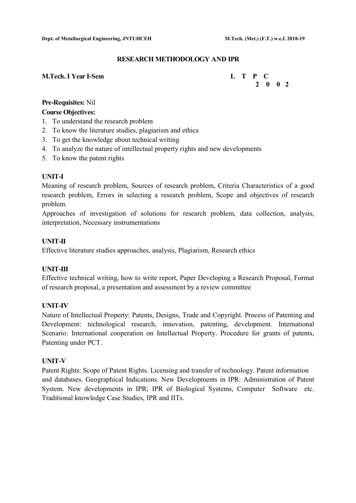#### RESEARCH METHODOLOGY AND IPR

#### M.Tech. I Year I-Sem and the contract of the U.S. T. P. C.

2 0 0 2

#### Pre-Requisites: Nil

#### Course Objectives:

- 1. To understand the research problem
- 2. To know the literature studies, plagiarism and ethics
- 3. To get the knowledge about technical writing
- 4. To analyze the nature of intellectual property rights and new developments
- 5. To know the patent rights

#### UNIT-I

Meaning of research problem, Sources of research problem, Criteria Characteristics of a good research problem, Errors in selecting a research problem, Scope and objectives of research problem.

Approaches of investigation of solutions for research problem, data collection, analysis, interpretation, Necessary instrumentations

#### UNIT-II

Effective literature studies approaches, analysis, Plagiarism, Research ethics

#### UNIT-III

Effective technical writing, how to write report, Paper Developing a Research Proposal, Format of research proposal, a presentation and assessment by a review committee

#### UNIT-IV

Nature of Intellectual Property: Patents, Designs, Trade and Copyright. Process of Patenting and Development: technological research, innovation, patenting, development. International Scenario: International cooperation on Intellectual Property. Procedure for grants of patents, Patenting under PCT.

#### UNIT-V

Patent Rights: Scope of Patent Rights. Licensing and transfer of technology. Patent information and databases. Geographical Indications. New Developments in IPR: Administration of Patent System. New developments in IPR; IPR of Biological Systems, Computer Software etc. Traditional knowledge Case Studies, IPR and IITs.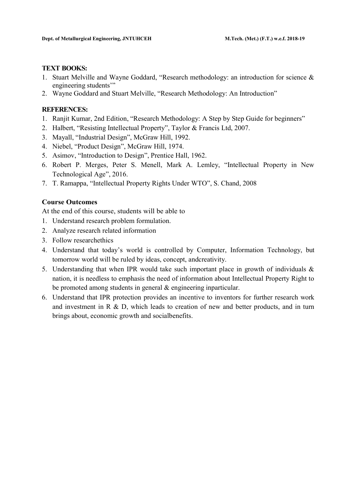#### TEXT BOOKS:

- 1. Stuart Melville and Wayne Goddard, "Research methodology: an introduction for science & engineering students'"
- 2. Wayne Goddard and Stuart Melville, "Research Methodology: An Introduction"

#### REFERENCES:

- 1. Ranjit Kumar, 2nd Edition, "Research Methodology: A Step by Step Guide for beginners"
- 2. Halbert, "Resisting Intellectual Property", Taylor & Francis Ltd, 2007.
- 3. Mayall, "Industrial Design", McGraw Hill, 1992.
- 4. Niebel, "Product Design", McGraw Hill, 1974.
- 5. Asimov, "Introduction to Design", Prentice Hall, 1962.
- 6. Robert P. Merges, Peter S. Menell, Mark A. Lemley, "Intellectual Property in New Technological Age", 2016.
- 7. T. Ramappa, "Intellectual Property Rights Under WTO", S. Chand, 2008

#### Course Outcomes

At the end of this course, students will be able to

- 1. Understand research problem formulation.
- 2. Analyze research related information
- 3. Follow researchethics
- 4. Understand that today's world is controlled by Computer, Information Technology, but tomorrow world will be ruled by ideas, concept, andcreativity.
- 5. Understanding that when IPR would take such important place in growth of individuals & nation, it is needless to emphasis the need of information about Intellectual Property Right to be promoted among students in general & engineering inparticular.
- 6. Understand that IPR protection provides an incentive to inventors for further research work and investment in R & D, which leads to creation of new and better products, and in turn brings about, economic growth and socialbenefits.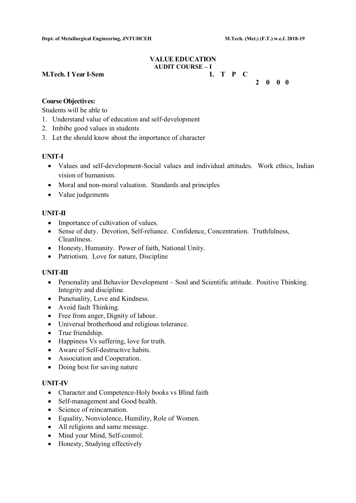## VALUE EDUCATION AUDIT COURSE – I

M.Tech. I Year I-Sem L T P C

2 0 0 0

## Course Objectives:

Students will be able to

- 1. Understand value of education and self-development
- 2. Imbibe good values in students
- 3. Let the should know about the importance of character

#### UNIT-I

- Values and self-development-Social values and individual attitudes. Work ethics, Indian vision of humanism.
- Moral and non-moral valuation. Standards and principles
- Value judgements

#### UNIT-II

- Importance of cultivation of values.
- Sense of duty. Devotion, Self-reliance. Confidence, Concentration. Truthfulness, Cleanliness.
- Honesty, Humanity. Power of faith, National Unity.
- Patriotism. Love for nature, Discipline

#### UNIT-III

- Personality and Behavior Development Soul and Scientific attitude. Positive Thinking. Integrity and discipline.
- Punctuality, Love and Kindness.
- Avoid fault Thinking.
- Free from anger, Dignity of labour.
- Universal brotherhood and religious tolerance.
- True friendship.
- Happiness Vs suffering, love for truth.
- Aware of Self-destructive habits.
- Association and Cooperation.
- Doing best for saving nature

#### UNIT-IV

- Character and Competence-Holy books vs Blind faith
- Self-management and Good health.
- Science of reincarnation.
- Equality, Nonviolence, Humility, Role of Women.
- All religions and same message.
- Mind your Mind, Self-control.
- Honesty, Studying effectively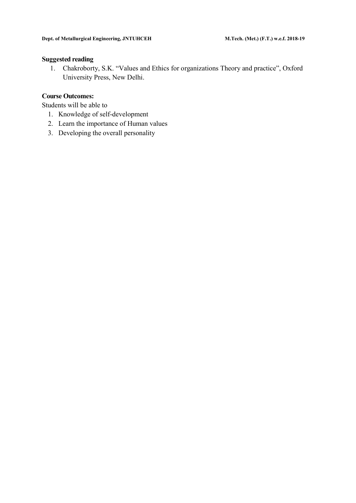#### Suggested reading

1. Chakroborty, S.K. "Values and Ethics for organizations Theory and practice", Oxford University Press, New Delhi.

## Course Outcomes:

Students will be able to

- 1. Knowledge of self-development
- 2. Learn the importance of Human values
- 3. Developing the overall personality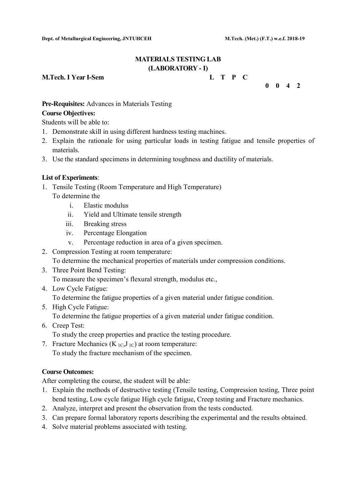## MATERIALS TESTING LAB (LABORATORY - I)

M.Tech. I Year I-Sem L T P C

 $0 \quad 0 \quad 4 \quad 2$ 

Pre-Requisites: Advances in Materials Testing

## Course Objectives:

Students will be able to:

- 1. Demonstrate skill in using different hardness testing machines.
- 2. Explain the rationale for using particular loads in testing fatigue and tensile properties of materials.
- 3. Use the standard specimens in determining toughness and ductility of materials.

## List of Experiments:

- 1. Tensile Testing (Room Temperature and High Temperature)
- To determine the
	- i. Elastic modulus
	- ii. Yield and Ultimate tensile strength
	- iii. Breaking stress
	- iv. Percentage Elongation
	- v. Percentage reduction in area of a given specimen.
- 2. Compression Testing at room temperature:
	- To determine the mechanical properties of materials under compression conditions.
- 3. Three Point Bend Testing:
	- To measure the specimen's flexural strength, modulus etc.,
- 4. Low Cycle Fatigue:

To determine the fatigue properties of a given material under fatigue condition.

- 5. High Cycle Fatigue: To determine the fatigue properties of a given material under fatigue condition.
- 6. Creep Test: To study the creep properties and practice the testing procedure.
- 7. Fracture Mechanics  $(K_{1C}, J_{1C})$  at room temperature: To study the fracture mechanism of the specimen.

## Course Outcomes:

After completing the course, the student will be able:

- 1. Explain the methods of destructive testing (Tensile testing, Compression testing, Three point bend testing, Low cycle fatigue High cycle fatigue, Creep testing and Fracture mechanics.
- 2. Analyze, interpret and present the observation from the tests conducted.
- 3. Can prepare formal laboratory reports describing the experimental and the results obtained.
- 4. Solve material problems associated with testing.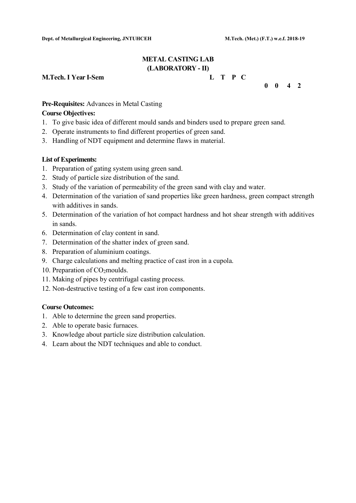## METAL CASTING LAB (LABORATORY - II)

M.Tech. I Year I-Sem L T P C

0 0 4 2

## Pre-Requisites: Advances in Metal Casting

#### Course Objectives:

- 1. To give basic idea of different mould sands and binders used to prepare green sand.
- 2. Operate instruments to find different properties of green sand.
- 3. Handling of NDT equipment and determine flaws in material.

#### List of Experiments:

- 1. Preparation of gating system using green sand.
- 2. Study of particle size distribution of the sand.
- 3. Study of the variation of permeability of the green sand with clay and water.
- 4. Determination of the variation of sand properties like green hardness, green compact strength with additives in sands.
- 5. Determination of the variation of hot compact hardness and hot shear strength with additives in sands.
- 6. Determination of clay content in sand.
- 7. Determination of the shatter index of green sand.
- 8. Preparation of aluminium coatings.
- 9. Charge calculations and melting practice of cast iron in a cupola.
- 10. Preparation of  $CO<sub>2</sub>$ moulds.
- 11. Making of pipes by centrifugal casting process.
- 12. Non-destructive testing of a few cast iron components.

#### Course Outcomes:

- 1. Able to determine the green sand properties.
- 2. Able to operate basic furnaces.
- 3. Knowledge about particle size distribution calculation.
- 4. Learn about the NDT techniques and able to conduct.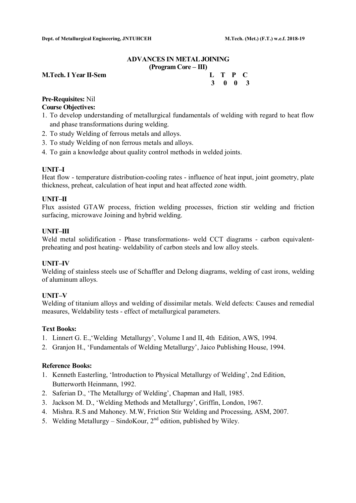#### ADVANCES IN METAL JOINING (Program Core – III)

M.Tech. I Year II-Sem L T P C

3 0 0 3

## Pre-Requisites: Nil

#### Course Objectives:

- 1. To develop understanding of metallurgical fundamentals of welding with regard to heat flow and phase transformations during welding.
- 2. To study Welding of ferrous metals and alloys.
- 3. To study Welding of non ferrous metals and alloys.
- 4. To gain a knowledge about quality control methods in welded joints.

## UNIT–I

Heat flow - temperature distribution-cooling rates - influence of heat input, joint geometry, plate thickness, preheat, calculation of heat input and heat affected zone width.

#### UNIT–II

Flux assisted GTAW process, friction welding processes, friction stir welding and friction surfacing, microwave Joining and hybrid welding.

#### UNIT–III

Weld metal solidification - Phase transformations- weld CCT diagrams - carbon equivalentpreheating and post heating- weldability of carbon steels and low alloy steels.

#### UNIT–IV

Welding of stainless steels use of Schaffler and Delong diagrams, welding of cast irons, welding of aluminum alloys.

#### UNIT–V

Welding of titanium alloys and welding of dissimilar metals. Weld defects: Causes and remedial measures, Weldability tests - effect of metallurgical parameters.

#### Text Books:

- 1. Linnert G. E.,'Welding Metallurgy', Volume I and II, 4th Edition, AWS, 1994.
- 2. Granjon H., 'Fundamentals of Welding Metallurgy', Jaico Publishing House, 1994.

#### Reference Books:

- 1. Kenneth Easterling, 'Introduction to Physical Metallurgy of Welding', 2nd Edition, Butterworth Heinmann, 1992.
- 2. Saferian D., 'The Metallurgy of Welding', Chapman and Hall, 1985.
- 3. Jackson M. D., 'Welding Methods and Metallurgy', Griffin, London, 1967.
- 4. Mishra. R.S and Mahoney. M.W, Friction Stir Welding and Processing, ASM, 2007.
- 5. Welding Metallurgy SindoKour,  $2<sup>nd</sup>$  edition, published by Wiley.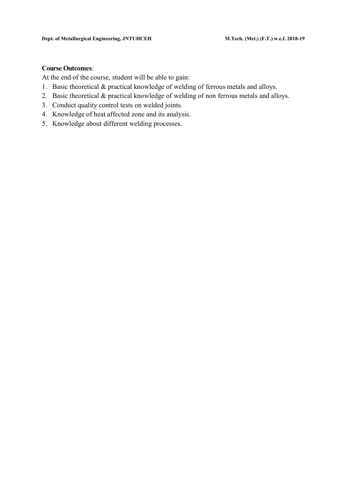## Course Outcomes:

At the end of the course, student will be able to gain:

- 1. Basic theoretical & practical knowledge of welding of ferrous metals and alloys.
- 2. Basic theoretical & practical knowledge of welding of non ferrous metals and alloys.
- 3. Conduct quality control tests on welded joints.
- 4. Knowledge of heat affected zone and its analysis.
- 5. Knowledge about different welding processes.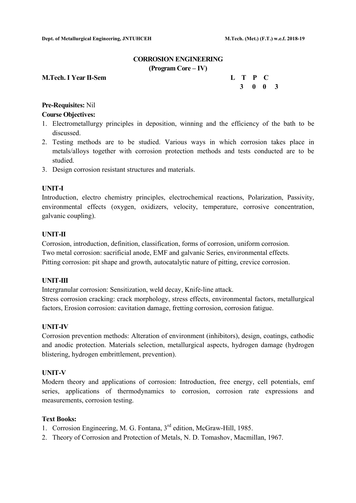#### CORROSION ENGINEERING

(Program Core – IV)

M.Tech. I Year II-Sem Letter that the contract of the C

3 0 0 3

#### Pre-Requisites: Nil

#### Course Objectives:

- 1. Electrometallurgy principles in deposition, winning and the efficiency of the bath to be discussed.
- 2. Testing methods are to be studied. Various ways in which corrosion takes place in metals/alloys together with corrosion protection methods and tests conducted are to be studied.
- 3. Design corrosion resistant structures and materials.

#### UNIT-I

Introduction, electro chemistry principles, electrochemical reactions, Polarization, Passivity, environmental effects (oxygen, oxidizers, velocity, temperature, corrosive concentration, galvanic coupling).

#### UNIT-II

Corrosion, introduction, definition, classification, forms of corrosion, uniform corrosion. Two metal corrosion: sacrificial anode, EMF and galvanic Series, environmental effects. Pitting corrosion: pit shape and growth, autocatalytic nature of pitting, crevice corrosion.

#### UNIT-III

Intergranular corrosion: Sensitization, weld decay, Knife-line attack.

Stress corrosion cracking: crack morphology, stress effects, environmental factors, metallurgical factors, Erosion corrosion: cavitation damage, fretting corrosion, corrosion fatigue.

#### UNIT-IV

Corrosion prevention methods: Alteration of environment (inhibitors), design, coatings, cathodic and anodic protection. Materials selection, metallurgical aspects, hydrogen damage (hydrogen blistering, hydrogen embrittlement, prevention).

#### UNIT-V

Modern theory and applications of corrosion: Introduction, free energy, cell potentials, emf series, applications of thermodynamics to corrosion, corrosion rate expressions and measurements, corrosion testing.

#### Text Books:

- 1. Corrosion Engineering, M. G. Fontana, 3<sup>rd</sup> edition, McGraw-Hill, 1985.
- 2. Theory of Corrosion and Protection of Metals, N. D. Tomashov, Macmillan, 1967.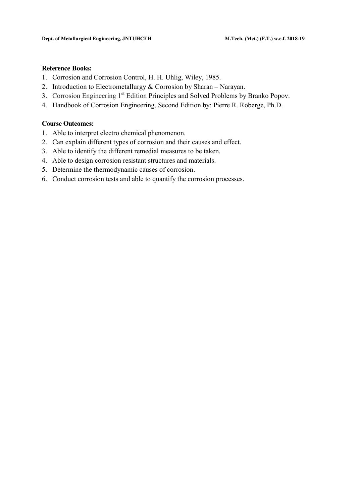#### Reference Books:

- 1. Corrosion and Corrosion Control, H. H. Uhlig, Wiley, 1985.
- 2. Introduction to Electrometallurgy & Corrosion by Sharan Narayan.
- 3. Corrosion Engineering 1<sup>st</sup> Edition Principles and Solved Problems by Branko Popov.
- 4. Handbook of Corrosion Engineering, Second Edition by: Pierre R. Roberge, Ph.D.

#### Course Outcomes:

- 1. Able to interpret electro chemical phenomenon.
- 2. Can explain different types of corrosion and their causes and effect.
- 3. Able to identify the different remedial measures to be taken.
- 4. Able to design corrosion resistant structures and materials.
- 5. Determine the thermodynamic causes of corrosion.
- 6. Conduct corrosion tests and able to quantify the corrosion processes.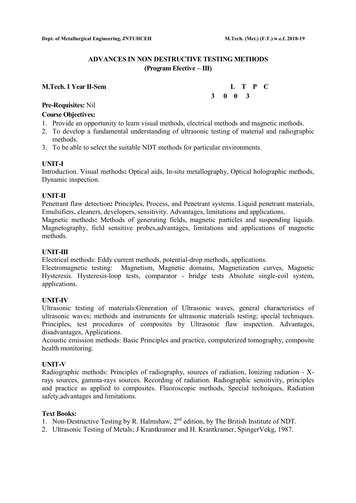## ADVANCES IN NON DESTRUCTIVE TESTING METHODS (Program Elective – III)

#### M.Tech. I Year II-Sem and the contract of the C L T P C

3 0 0 3

## Pre-Requisites: Nil

Course Objectives:

- 1. Provide an opportunity to learn visual methods, electrical methods and magnetic methods.
- 2. To develop a fundamental understanding of ultrasonic testing of material and radiographic methods.
- 3. To be able to select the suitable NDT methods for particular environments.

#### UNIT-I

Introduction. Visual methods: Optical aids, In-situ metallography, Optical holographic methods, Dynamic inspection.

#### UNIT-II

Penetrant flaw detection: Principles, Process, and Penetrant systems. Liquid penetrant materials, Emulsifiers, cleaners, developers, sensitivity. Advantages, limitations and applications.

Magnetic methods: Methods of generating fields, magnetic particles and suspending liquids. Magnetography, field sensitive probes,advantages, limitations and applications of magnetic methods.

#### UNIT-III

Electrical methods: Eddy current methods, potential-drop methods, applications.

Electromagnetic testing: Magnetism, Magnetic domains, Magnetization curves, Magnetic Hysteresis. Hysteresis-loop tests, comparator - bridge tests Absolute single-coil system, applications.

#### UNIT-IV

Ultrasonic testing of materials:Generation of Ultrasonic waves, general characteristics of ultrasonic waves; methods and instruments for ultrasonic materials testing; special techniques. Principles, test procedures of composites by Ultrasonic flaw inspection. Advantages, disadvantages, Applications.

Acoustic emission methods: Basic Principles and practice, computerized tomography, composite health monitoring.

#### UNIT-V

Radiographic methods: Principles of radiography, sources of radiation, Ionizing radiation - Xrays sources, gamma-rays sources. Recording of radiation. Radiographic sensitivity, principles and practice as applied to composites. Fluoroscopic methods, Special techniques, Radiation safety,advantages and limitations.

#### Text Books:

- 1. Non-Destructive Testing by R. Halmshaw,  $2<sup>nd</sup>$  edition, by The British Institute of NDT.
- 2. Ultrasonic Testing of Metals; J Krantkramer and H. Krantkramer, SpingerVekg, 1987.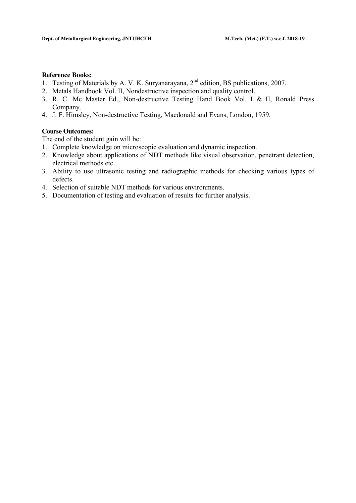#### Reference Books:

- 1. Testing of Materials by A. V. K. Suryanarayana, 2<sup>nd</sup> edition, BS publications, 2007.
- 2. Metals Handbook Vol. II, Nondestructive inspection and quality control.
- 3. R. C. Mc Master Ed., Non-destructive Testing Hand Book Vol. I & II, Ronald Press Company.
- 4. J. F. Himsley, Non-destructive Testing, Macdonald and Evans, London, 1959.

#### Course Outcomes:

The end of the student gain will be:

- 1. Complete knowledge on microscopic evaluation and dynamic inspection.
- 2. Knowledge about applications of NDT methods like visual observation, penetrant detection, electrical methods etc.
- 3. Ability to use ultrasonic testing and radiographic methods for checking various types of defects.
- 4. Selection of suitable NDT methods for various environments.
- 5. Documentation of testing and evaluation of results for further analysis.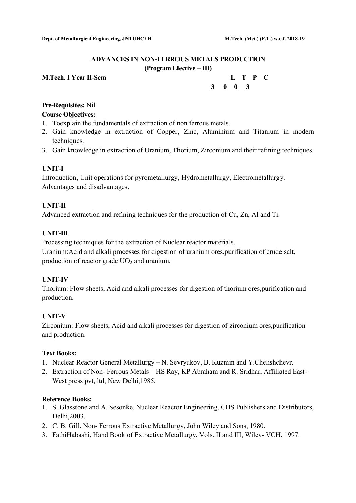## ADVANCES IN NON-FERROUS METALS PRODUCTION (Program Elective – III)

M.Tech. I Year II-Sem and the contract of the contract of the contract of the contract of the contract of the contract of the contract of the contract of the contract of the contract of the contract of the contract of the

3 0 0 3

#### Pre-Requisites: Nil

#### Course Objectives:

- 1. Toexplain the fundamentals of extraction of non ferrous metals.
- 2. Gain knowledge in extraction of Copper, Zinc, Aluminium and Titanium in modern techniques.
- 3. Gain knowledge in extraction of Uranium, Thorium, Zirconium and their refining techniques.

#### UNIT-I

Introduction, Unit operations for pyrometallurgy, Hydrometallurgy, Electrometallurgy. Advantages and disadvantages.

#### UNIT-II

Advanced extraction and refining techniques for the production of Cu, Zn, Al and Ti.

#### UNIT-III

Processing techniques for the extraction of Nuclear reactor materials.

Uranium:Acid and alkali processes for digestion of uranium ores,purification of crude salt, production of reactor grade  $UO<sub>2</sub>$  and uranium.

#### UNIT-IV

Thorium: Flow sheets, Acid and alkali processes for digestion of thorium ores,purification and production.

#### UNIT-V

Zirconium: Flow sheets, Acid and alkali processes for digestion of zirconium ores,purification and production.

#### Text Books:

- 1. Nuclear Reactor General Metallurgy N. Sevryukov, B. Kuzmin and Y.Chelishchevr.
- 2. Extraction of Non- Ferrous Metals HS Ray, KP Abraham and R. Sridhar, Affiliated East-West press pvt, ltd, New Delhi,1985.

#### Reference Books:

- 1. S. Glasstone and A. Sesonke, Nuclear Reactor Engineering, CBS Publishers and Distributors, Delhi,2003.
- 2. C. B. Gill, Non- Ferrous Extractive Metallurgy, John Wiley and Sons, 1980.
- 3. FathiHabashi, Hand Book of Extractive Metallurgy, Vols. II and III, Wiley- VCH, 1997.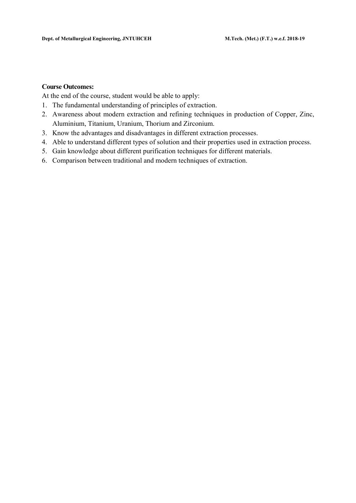#### Course Outcomes:

At the end of the course, student would be able to apply:

- 1. The fundamental understanding of principles of extraction.
- 2. Awareness about modern extraction and refining techniques in production of Copper, Zinc, Aluminium, Titanium, Uranium, Thorium and Zirconium.
- 3. Know the advantages and disadvantages in different extraction processes.
- 4. Able to understand different types of solution and their properties used in extraction process.
- 5. Gain knowledge about different purification techniques for different materials.
- 6. Comparison between traditional and modern techniques of extraction.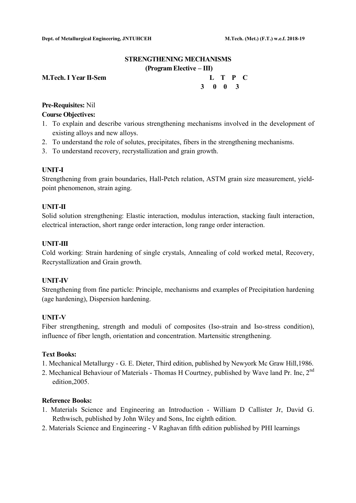## STRENGTHENING MECHANISMS

(Program Elective – III)

M.Tech. I Year II-Sem L C L T P C

3 0 0 3

## Pre-Requisites: Nil

## Course Objectives:

- 1. To explain and describe various strengthening mechanisms involved in the development of existing alloys and new alloys.
- 2. To understand the role of solutes, precipitates, fibers in the strengthening mechanisms.
- 3. To understand recovery, recrystallization and grain growth.

#### UNIT-I

Strengthening from grain boundaries, Hall-Petch relation, ASTM grain size measurement, yieldpoint phenomenon, strain aging.

#### UNIT-II

Solid solution strengthening: Elastic interaction, modulus interaction, stacking fault interaction, electrical interaction, short range order interaction, long range order interaction.

#### UNIT-III

Cold working: Strain hardening of single crystals, Annealing of cold worked metal, Recovery, Recrystallization and Grain growth.

#### UNIT-IV

Strengthening from fine particle: Principle, mechanisms and examples of Precipitation hardening (age hardening), Dispersion hardening.

#### UNIT-V

Fiber strengthening, strength and moduli of composites (Iso-strain and Iso-stress condition), influence of fiber length, orientation and concentration. Martensitic strengthening.

#### Text Books:

- 1. Mechanical Metallurgy G. E. Dieter, Third edition, published by Newyork Mc Graw Hill,1986.
- 2. Mechanical Behaviour of Materials Thomas H Courtney, published by Wave land Pr. Inc, 2<sup>nd</sup> edition,2005.

#### Reference Books:

- 1. Materials Science and Engineering an Introduction William D Callister Jr, David G. Rethwisch, published by John Wiley and Sons, Inc eighth edition.
- 2. Materials Science and Engineering V Raghavan fifth edition published by PHI learnings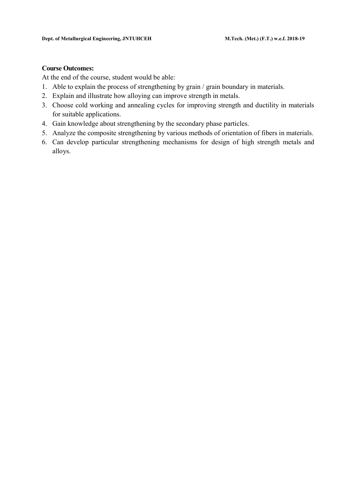#### Course Outcomes:

At the end of the course, student would be able:

- 1. Able to explain the process of strengthening by grain / grain boundary in materials.
- 2. Explain and illustrate how alloying can improve strength in metals.
- 3. Choose cold working and annealing cycles for improving strength and ductility in materials for suitable applications.
- 4. Gain knowledge about strengthening by the secondary phase particles.
- 5. Analyze the composite strengthening by various methods of orientation of fibers in materials.
- 6. Can develop particular strengthening mechanisms for design of high strength metals and alloys.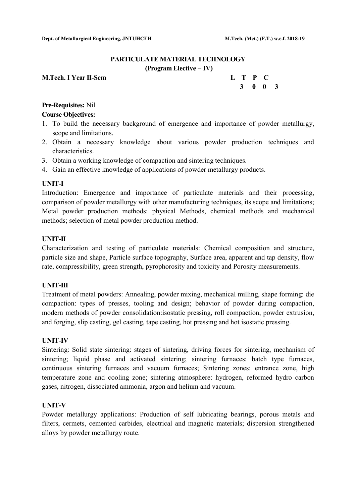## PARTICULATE MATERIAL TECHNOLOGY

(Program Elective – IV)

### M.Tech. I Year II-Sem L T P C

3 0 0 3

#### Pre-Requisites: Nil

## Course Objectives:

- 1. To build the necessary background of emergence and importance of powder metallurgy, scope and limitations.
- 2. Obtain a necessary knowledge about various powder production techniques and characteristics.
- 3. Obtain a working knowledge of compaction and sintering techniques.
- 4. Gain an effective knowledge of applications of powder metallurgy products.

#### UNIT-I

Introduction: Emergence and importance of particulate materials and their processing, comparison of powder metallurgy with other manufacturing techniques, its scope and limitations; Metal powder production methods: physical Methods, chemical methods and mechanical methods; selection of metal powder production method.

#### UNIT-II

Characterization and testing of particulate materials: Chemical composition and structure, particle size and shape, Particle surface topography, Surface area, apparent and tap density, flow rate, compressibility, green strength, pyrophorosity and toxicity and Porosity measurements.

#### UNIT-III

Treatment of metal powders: Annealing, powder mixing, mechanical milling, shape forming: die compaction: types of presses, tooling and design; behavior of powder during compaction, modern methods of powder consolidation:isostatic pressing, roll compaction, powder extrusion, and forging, slip casting, gel casting, tape casting, hot pressing and hot isostatic pressing.

#### UNIT-IV

Sintering: Solid state sintering: stages of sintering, driving forces for sintering, mechanism of sintering; liquid phase and activated sintering; sintering furnaces: batch type furnaces, continuous sintering furnaces and vacuum furnaces; Sintering zones: entrance zone, high temperature zone and cooling zone; sintering atmosphere: hydrogen, reformed hydro carbon gases, nitrogen, dissociated ammonia, argon and helium and vacuum.

#### UNIT-V

Powder metallurgy applications: Production of self lubricating bearings, porous metals and filters, cermets, cemented carbides, electrical and magnetic materials; dispersion strengthened alloys by powder metallurgy route.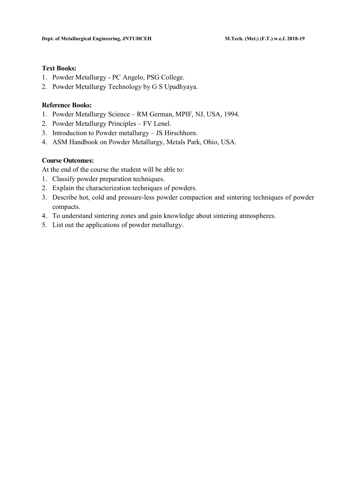#### Text Books:

- 1. Powder Metallurgy PC Angelo, PSG College.
- 2. Powder Metallurgy Technology by G S Upadhyaya.

#### Reference Books:

- 1. Powder Metallurgy Science RM German, MPIF, NJ, USA, 1994.
- 2. Powder Metallurgy Principles FV Lenel.
- 3. Introduction to Powder metallurgy JS Hirschhorn.
- 4. ASM Handbook on Powder Metallurgy, Metals Park, Ohio, USA.

## Course Outcomes:

At the end of the course the student will be able to:

- 1. Classify powder preparation techniques.
- 2. Explain the characterization techniques of powders.
- 3. Describe hot, cold and pressure-less powder compaction and sintering techniques of powder compacts.
- 4. To understand sintering zones and gain knowledge about sintering atmospheres.
- 5. List out the applications of powder metallurgy.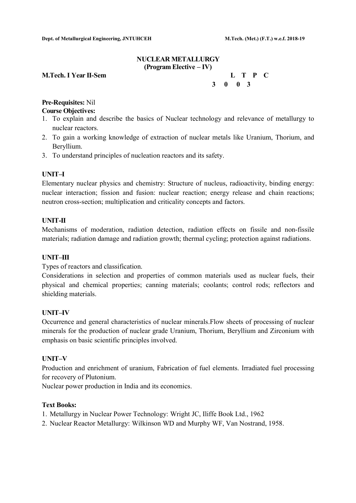#### NUCLEAR METALLURGY (Program Elective – IV) M.Tech. I Year II-Sem L T P C

## 3 0 0 3

#### Pre-Requisites: Nil Course Objectives:

- 1. To explain and describe the basics of Nuclear technology and relevance of metallurgy to nuclear reactors.
- 2. To gain a working knowledge of extraction of nuclear metals like Uranium, Thorium, and Beryllium.
- 3. To understand principles of nucleation reactors and its safety.

## UNIT–I

Elementary nuclear physics and chemistry: Structure of nucleus, radioactivity, binding energy: nuclear interaction; fission and fusion: nuclear reaction; energy release and chain reactions; neutron cross-section; multiplication and criticality concepts and factors.

## UNIT-II

Mechanisms of moderation, radiation detection, radiation effects on fissile and non-fissile materials; radiation damage and radiation growth; thermal cycling; protection against radiations.

#### UNIT–III

Types of reactors and classification.

Considerations in selection and properties of common materials used as nuclear fuels, their physical and chemical properties; canning materials; coolants; control rods; reflectors and shielding materials.

#### UNIT–IV

Occurrence and general characteristics of nuclear minerals.Flow sheets of processing of nuclear minerals for the production of nuclear grade Uranium, Thorium, Beryllium and Zirconium with emphasis on basic scientific principles involved.

#### UNIT–V

Production and enrichment of uranium, Fabrication of fuel elements. Irradiated fuel processing for recovery of Plutonium.

Nuclear power production in India and its economics.

## Text Books:

- 1. Metallurgy in Nuclear Power Technology: Wright JC, Iliffe Book Ltd., 1962
- 2. Nuclear Reactor Metallurgy: Wilkinson WD and Murphy WF, Van Nostrand, 1958.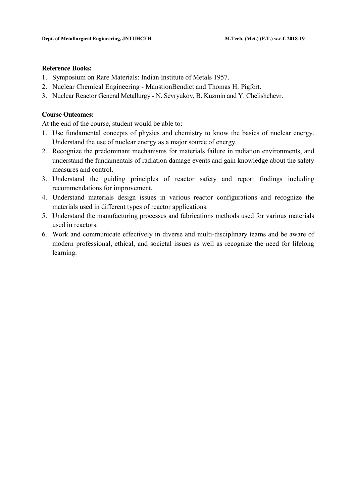#### Reference Books:

- 1. Symposium on Rare Materials: Indian Institute of Metals 1957.
- 2. Nuclear Chemical Engineering ManstionBendict and Thomas H. Pigfort.
- 3. Nuclear Reactor General Metallurgy N. Sevryukov, B. Kuzmin and Y. Chelishchevr.

## Course Outcomes:

At the end of the course, student would be able to:

- 1. Use fundamental concepts of physics and chemistry to know the basics of nuclear energy. Understand the use of nuclear energy as a major source of energy.
- 2. Recognize the predominant mechanisms for materials failure in radiation environments, and understand the fundamentals of radiation damage events and gain knowledge about the safety measures and control.
- 3. Understand the guiding principles of reactor safety and report findings including recommendations for improvement.
- 4. Understand materials design issues in various reactor configurations and recognize the materials used in different types of reactor applications.
- 5. Understand the manufacturing processes and fabrications methods used for various materials used in reactors.
- 6. Work and communicate effectively in diverse and multi-disciplinary teams and be aware of modern professional, ethical, and societal issues as well as recognize the need for lifelong learning.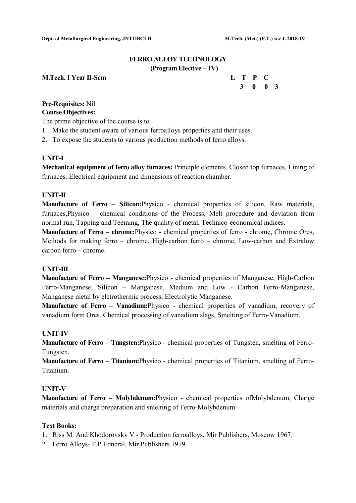## FERRO ALLOY TECHNOLOGY

(Program Elective – IV)

M.Tech. I Year II-Sem Letter that the contract of the C

3 0 0 3

## Pre-Requisites: Nil Course Objectives:

The prime objective of the course is to

1. Make the student aware of various ferroalloys properties and their uses.

2. To expose the students to various production methods of ferro alloys.

#### UNIT-I

Mechanical equipment of ferro alloy furnaces: Principle elements, Closed top furnaces, Lining of furnaces. Electrical equipment and dimensions of reaction chamber.

#### UNIT-II

Manufacture of Ferro – Silicon:Physico - chemical properties of silicon, Raw materials, furnaces,Physico – chemical conditions of the Process, Melt procedure and deviation from normal run, Tapping and Teeming, The quality of metal, Technico-economical indices.

Manufacture of Ferro – chrome:Physico - chemical properties of ferro - chrome, Chrome Ores, Methods for making ferro – chrome, High-carbon ferro – chrome, Low-carbon and Extralow carbon ferro – chrome.

#### UNIT-III

Manufacture of Ferro – Manganese:Physico - chemical properties of Manganese, High-Carbon Ferro-Manganese, Silicon – Manganese, Medium and Low - Carbon Ferro-Manganese, Manganese metal by elctrothermic process, Electrolytic Manganese.

Manufacture of Ferro – Vanadium:Physico - chemical properties of vanadium, recovery of vanadium form Ores, Chemical processing of vanadium slags, Smelting of Ferro-Vanadium.

#### UNIT-IV

Manufacture of Ferro – Tungsten:Physico - chemical properties of Tungsten, smelting of Ferro-Tungsten.

Manufacture of Ferro – Titanium:Physico - chemical properties of Titanium, smelting of Ferro-Titanium.

#### UNIT-V

Manufacture of Ferro – Molybdenum:Physico - chemical properties ofMolybdenum, Charge materials and charge preparation and smelting of Ferro-Molybdenum.

#### Text Books:

- 1. Riss M. And Khodorovsky V Production ferroalloys, Mir Publishers, Moscow 1967.
- 2. Ferro Alloys- F.P.Edneral, Mir Publishers 1979.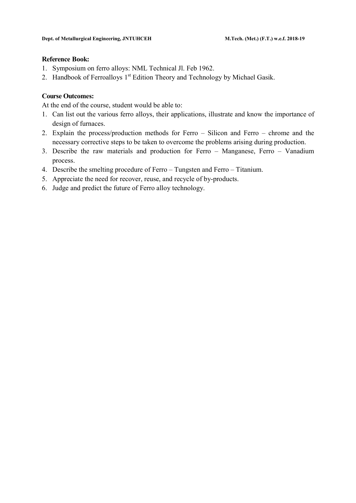#### Reference Book:

- 1. Symposium on ferro alloys: NML Technical Jl. Feb 1962.
- 2. Handbook of Ferroalloys 1<sup>st</sup> Edition Theory and Technology by Michael Gasik.

#### Course Outcomes:

At the end of the course, student would be able to:

- 1. Can list out the various ferro alloys, their applications, illustrate and know the importance of design of furnaces.
- 2. Explain the process/production methods for Ferro Silicon and Ferro chrome and the necessary corrective steps to be taken to overcome the problems arising during production.
- 3. Describe the raw materials and production for Ferro Manganese, Ferro Vanadium process.
- 4. Describe the smelting procedure of Ferro Tungsten and Ferro Titanium.
- 5. Appreciate the need for recover, reuse, and recycle of by-products.
- 6. Judge and predict the future of Ferro alloy technology.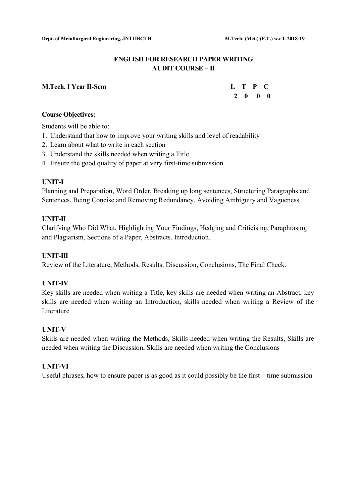## ENGLISH FOR RESEARCH PAPER WRITING AUDIT COURSE – II

#### M.Tech. I Year II-Sem

| II-Sem | L T P C |                          |  |
|--------|---------|--------------------------|--|
|        |         | $2\quad 0\quad 0\quad 0$ |  |

## Course Objectives:

Students will be able to:

- 1. Understand that how to improve your writing skills and level of readability
- 2. Learn about what to write in each section
- 3. Understand the skills needed when writing a Title
- 4. Ensure the good quality of paper at very first-time submission

#### UNIT-I

Planning and Preparation, Word Order, Breaking up long sentences, Structuring Paragraphs and Sentences, Being Concise and Removing Redundancy, Avoiding Ambiguity and Vagueness

## UNIT-II

Clarifying Who Did What, Highlighting Your Findings, Hedging and Criticising, Paraphrasing and Plagiarism, Sections of a Paper, Abstracts. Introduction.

#### UNIT-III

Review of the Literature, Methods, Results, Discussion, Conclusions, The Final Check.

#### UNIT-IV

Key skills are needed when writing a Title, key skills are needed when writing an Abstract, key skills are needed when writing an Introduction, skills needed when writing a Review of the Literature

#### UNIT-V

Skills are needed when writing the Methods, Skills needed when writing the Results, Skills are needed when writing the Discussion, Skills are needed when writing the Conclusions

#### UNIT-VI

Useful phrases, how to ensure paper is as good as it could possibly be the first – time submission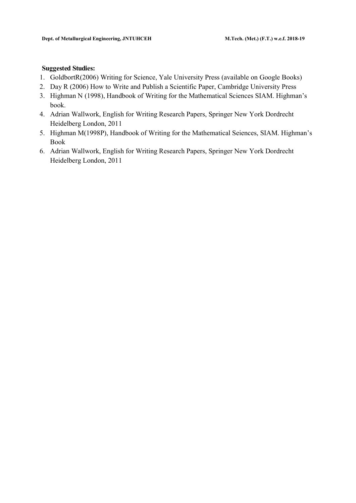#### Suggested Studies:

- 1. GoldbortR(2006) Writing for Science, Yale University Press (available on Google Books)
- 2. Day R (2006) How to Write and Publish a Scientific Paper, Cambridge University Press
- 3. Highman N (1998), Handbook of Writing for the Mathematical Sciences SIAM. Highman's book.
- 4. Adrian Wallwork, English for Writing Research Papers, Springer New York Dordrecht Heidelberg London, 2011
- 5. Highman M(1998P), Handbook of Writing for the Mathematical Seiences, SIAM. Highman's Book
- 6. Adrian Wallwork, English for Writing Research Papers, Springer New York Dordrecht Heidelberg London, 2011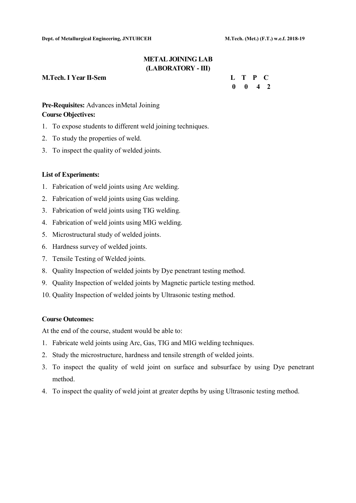## METAL JOINING LAB (LABORATORY - III)

M.Tech. I Year II-Sem Letter that the contract of the C

 $0 \quad 0 \quad 4 \quad 2$ 

## Pre-Requisites: Advances inMetal Joining Course Objectives:

- 1. To expose students to different weld joining techniques.
- 2. To study the properties of weld.
- 3. To inspect the quality of welded joints.

#### List of Experiments:

- 1. Fabrication of weld joints using Arc welding.
- 2. Fabrication of weld joints using Gas welding.
- 3. Fabrication of weld joints using TIG welding.
- 4. Fabrication of weld joints using MIG welding.
- 5. Microstructural study of welded joints.
- 6. Hardness survey of welded joints.
- 7. Tensile Testing of Welded joints.
- 8. Quality Inspection of welded joints by Dye penetrant testing method.
- 9. Quality Inspection of welded joints by Magnetic particle testing method.
- 10. Quality Inspection of welded joints by Ultrasonic testing method.

#### Course Outcomes:

At the end of the course, student would be able to:

- 1. Fabricate weld joints using Arc, Gas, TIG and MIG welding techniques.
- 2. Study the microstructure, hardness and tensile strength of welded joints.
- 3. To inspect the quality of weld joint on surface and subsurface by using Dye penetrant method.
- 4. To inspect the quality of weld joint at greater depths by using Ultrasonic testing method.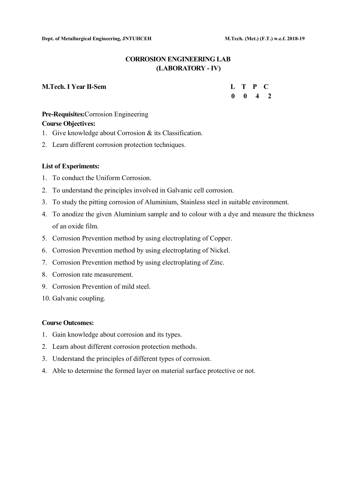## CORROSION ENGINEERING LAB (LABORATORY - IV)

M.Tech. I Year II-Sem

| ∙ II-Sem |  | L T P C |                    |
|----------|--|---------|--------------------|
|          |  |         | $0 \t 0 \t 4 \t 2$ |

## Pre-Requisites:Corrosion Engineering Course Objectives:

- 1. Give knowledge about Corrosion & its Classification.
- 2. Learn different corrosion protection techniques.

#### List of Experiments:

- 1. To conduct the Uniform Corrosion.
- 2. To understand the principles involved in Galvanic cell corrosion.
- 3. To study the pitting corrosion of Aluminium, Stainless steel in suitable environment.
- 4. To anodize the given Aluminium sample and to colour with a dye and measure the thickness of an oxide film.
- 5. Corrosion Prevention method by using electroplating of Copper.
- 6. Corrosion Prevention method by using electroplating of Nickel.
- 7. Corrosion Prevention method by using electroplating of Zinc.
- 8. Corrosion rate measurement.
- 9. Corrosion Prevention of mild steel.
- 10. Galvanic coupling.

#### Course Outcomes:

- 1. Gain knowledge about corrosion and its types.
- 2. Learn about different corrosion protection methods.
- 3. Understand the principles of different types of corrosion.
- 4. Able to determine the formed layer on material surface protective or not.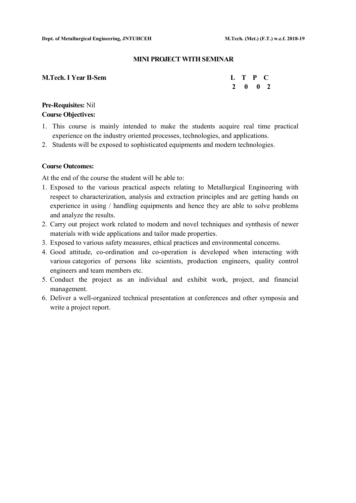#### MINI PROJECT WITH SEMINAR

#### M.Tech. I Year II-Sem

| II-Sem |  | L T P C                     |  |
|--------|--|-----------------------------|--|
|        |  | $2 \quad 0 \quad 0 \quad 2$ |  |

## Pre-Requisites: Nil Course Objectives:

- 1. This course is mainly intended to make the students acquire real time practical experience on the industry oriented processes, technologies, and applications.
- 2. Students will be exposed to sophisticated equipments and modern technologies.

#### Course Outcomes:

At the end of the course the student will be able to:

- 1. Exposed to the various practical aspects relating to Metallurgical Engineering with respect to characterization, analysis and extraction principles and are getting hands on experience in using / handling equipments and hence they are able to solve problems and analyze the results.
- 2. Carry out project work related to modern and novel techniques and synthesis of newer materials with wide applications and tailor made properties.
- 3. Exposed to various safety measures, ethical practices and environmental concerns.
- 4. Good attitude, co-ordination and co-operation is developed when interacting with various categories of persons like scientists, production engineers, quality control engineers and team members etc.
- 5. Conduct the project as an individual and exhibit work, project, and financial management.
- 6. Deliver a well-organized technical presentation at conferences and other symposia and write a project report.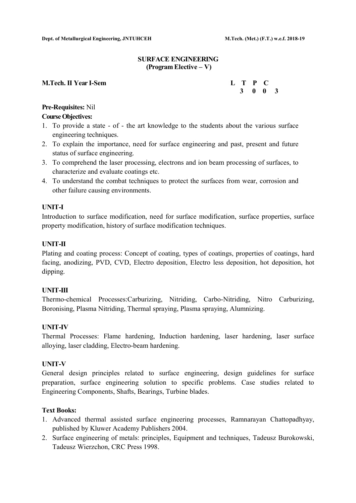#### SURFACE ENGINEERING (Program Elective – V)

#### M.Tech. II Year I-Sem L T P C

3 0 0 3

#### Pre-Requisites: Nil

#### **Course Objectives:**

- 1. To provide a state of the art knowledge to the students about the various surface engineering techniques.
- 2. To explain the importance, need for surface engineering and past, present and future status of surface engineering.
- 3. To comprehend the laser processing, electrons and ion beam processing of surfaces, to characterize and evaluate coatings etc.
- 4. To understand the combat techniques to protect the surfaces from wear, corrosion and other failure causing environments.

#### UNIT-I

Introduction to surface modification, need for surface modification, surface properties, surface property modification, history of surface modification techniques.

#### UNIT-II

Plating and coating process: Concept of coating, types of coatings, properties of coatings, hard facing, anodizing, PVD, CVD, Electro deposition, Electro less deposition, hot deposition, hot dipping.

#### UNIT-III

Thermo-chemical Processes:Carburizing, Nitriding, Carbo-Nitriding, Nitro Carburizing, Boronising, Plasma Nitriding, Thermal spraying, Plasma spraying, Alumnizing.

#### UNIT-IV

Thermal Processes: Flame hardening, Induction hardening, laser hardening, laser surface alloying, laser cladding, Electro-beam hardening.

#### UNIT-V

General design principles related to surface engineering, design guidelines for surface preparation, surface engineering solution to specific problems. Case studies related to Engineering Components, Shafts, Bearings, Turbine blades.

#### Text Books:

- 1. Advanced thermal assisted surface engineering processes, Ramnarayan Chattopadhyay, published by Kluwer Academy Publishers 2004.
- 2. Surface engineering of metals: principles, Equipment and techniques, Tadeusz Burokowski, Tadeusz Wierzchon, CRC Press 1998.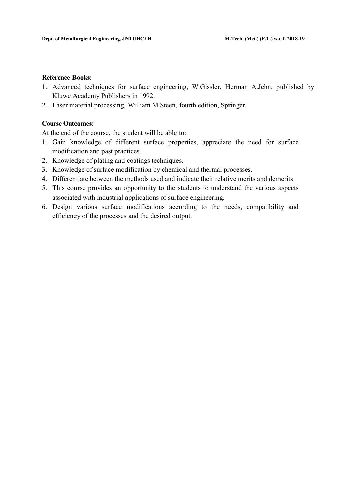#### Reference Books:

- 1. Advanced techniques for surface engineering, W.Gissler, Herman A.Jehn, published by Kluwe Academy Publishers in 1992.
- 2. Laser material processing, William M.Steen, fourth edition, Springer.

#### Course Outcomes:

At the end of the course, the student will be able to:

- 1. Gain knowledge of different surface properties, appreciate the need for surface modification and past practices.
- 2. Knowledge of plating and coatings techniques.
- 3. Knowledge of surface modification by chemical and thermal processes.
- 4. Differentiate between the methods used and indicate their relative merits and demerits
- 5. This course provides an opportunity to the students to understand the various aspects associated with industrial applications of surface engineering.
- 6. Design various surface modifications according to the needs, compatibility and efficiency of the processes and the desired output.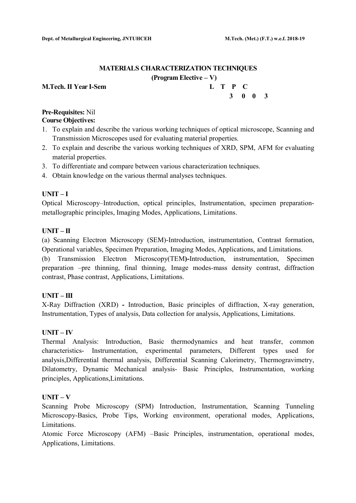## MATERIALS CHARACTERIZATION TECHNIQUES (Program Elective – V)

M.Tech. II Year I-Sem L T P C

## 3 0 0 3

#### Pre-Requisites: Nil Course Objectives:

- 1. To explain and describe the various working techniques of optical microscope, Scanning and Transmission Microscopes used for evaluating material properties.
- 2. To explain and describe the various working techniques of XRD, SPM, AFM for evaluating material properties.
- 3. To differentiate and compare between various characterization techniques.
- 4. Obtain knowledge on the various thermal analyses techniques.

## UNIT – I

Optical Microscopy–Introduction, optical principles, Instrumentation, specimen preparationmetallographic principles, Imaging Modes, Applications, Limitations.

#### UNIT – II

(a) Scanning Electron Microscopy (SEM)-Introduction, instrumentation, Contrast formation, Operational variables, Specimen Preparation, Imaging Modes, Applications, and Limitations.

(b) Transmission Electron Microscopy(TEM)-Introduction, instrumentation, Specimen preparation –pre thinning, final thinning, Image modes-mass density contrast, diffraction contrast, Phase contrast, Applications, Limitations.

## UNIT – III

X-Ray Diffraction (XRD) - Introduction, Basic principles of diffraction, X-ray generation, Instrumentation, Types of analysis, Data collection for analysis, Applications, Limitations.

## UNIT – IV

Thermal Analysis: Introduction, Basic thermodynamics and heat transfer, common characteristics- Instrumentation, experimental parameters, Different types used for analysis,Differential thermal analysis, Differential Scanning Calorimetry, Thermogravimetry, Dilatometry, Dynamic Mechanical analysis- Basic Principles, Instrumentation, working principles, Applications,Limitations.

#### $UNIT - V$

Scanning Probe Microscopy (SPM) Introduction, Instrumentation, Scanning Tunneling Microscopy-Basics, Probe Tips, Working environment, operational modes, Applications, Limitations.

Atomic Force Microscopy (AFM) –Basic Principles, instrumentation, operational modes, Applications, Limitations.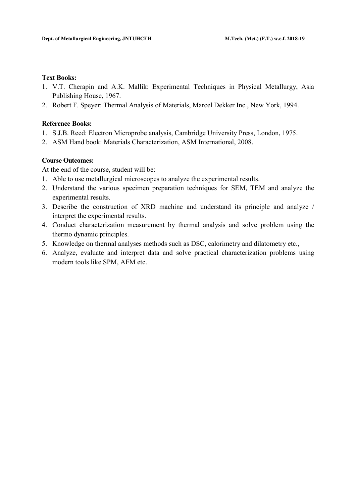#### Text Books:

- 1. V.T. Cherapin and A.K. Mallik: Experimental Techniques in Physical Metallurgy, Asia Publishing House, 1967.
- 2. Robert F. Speyer: Thermal Analysis of Materials, Marcel Dekker Inc., New York, 1994.

#### Reference Books:

- 1. S.J.B. Reed: Electron Microprobe analysis, Cambridge University Press, London, 1975.
- 2. ASM Hand book: Materials Characterization, ASM International, 2008.

## Course Outcomes:

At the end of the course, student will be:

- 1. Able to use metallurgical microscopes to analyze the experimental results.
- 2. Understand the various specimen preparation techniques for SEM, TEM and analyze the experimental results.
- 3. Describe the construction of XRD machine and understand its principle and analyze / interpret the experimental results.
- 4. Conduct characterization measurement by thermal analysis and solve problem using the thermo dynamic principles.
- 5. Knowledge on thermal analyses methods such as DSC, calorimetry and dilatometry etc.,
- 6. Analyze, evaluate and interpret data and solve practical characterization problems using modern tools like SPM, AFM etc.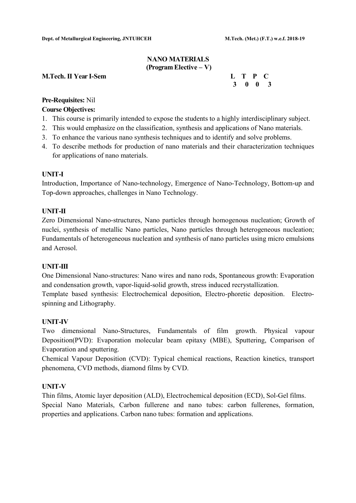## NANO MATERIALS (Program Elective – V)

M.Tech. II Year I-Sem and the contract of the U. T. P. C.

3 0 0 3

## Pre-Requisites: Nil

## Course Objectives:

- 1. This course is primarily intended to expose the students to a highly interdisciplinary subject.
- 2. This would emphasize on the classification, synthesis and applications of Nano materials.
- 3. To enhance the various nano synthesis techniques and to identify and solve problems.
- 4. To describe methods for production of nano materials and their characterization techniques for applications of nano materials.

## UNIT-I

Introduction, Importance of Nano-technology, Emergence of Nano-Technology, Bottom-up and Top-down approaches, challenges in Nano Technology.

## UNIT-II

Zero Dimensional Nano-structures, Nano particles through homogenous nucleation; Growth of nuclei, synthesis of metallic Nano particles, Nano particles through heterogeneous nucleation; Fundamentals of heterogeneous nucleation and synthesis of nano particles using micro emulsions and Aerosol.

## UNIT-III

One Dimensional Nano-structures: Nano wires and nano rods, Spontaneous growth: Evaporation and condensation growth, vapor-liquid-solid growth, stress induced recrystallization.

Template based synthesis: Electrochemical deposition, Electro-phoretic deposition. Electrospinning and Lithography.

#### UNIT-IV

Two dimensional Nano-Structures, Fundamentals of film growth. Physical vapour Deposition(PVD): Evaporation molecular beam epitaxy (MBE), Sputtering, Comparison of Evaporation and sputtering.

Chemical Vapour Deposition (CVD): Typical chemical reactions, Reaction kinetics, transport phenomena, CVD methods, diamond films by CVD.

#### UNIT-V

Thin films, Atomic layer deposition (ALD), Electrochemical deposition (ECD), Sol-Gel films. Special Nano Materials, Carbon fullerene and nano tubes: carbon fullerenes, formation, properties and applications. Carbon nano tubes: formation and applications.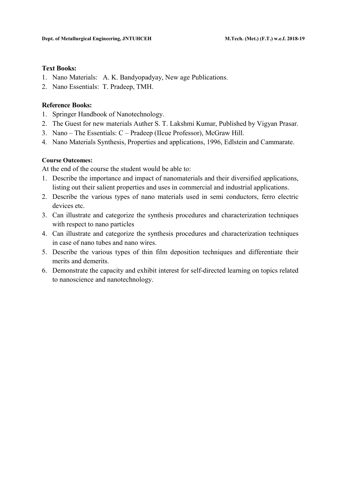#### Text Books:

- 1. Nano Materials: A. K. Bandyopadyay, New age Publications.
- 2. Nano Essentials: T. Pradeep, TMH.

#### Reference Books:

- 1. Springer Handbook of Nanotechnology.
- 2. The Guest for new materials Auther S. T. Lakshmi Kumar, Published by Vigyan Prasar.
- 3. Nano The Essentials: C Pradeep (IIcue Professor), McGraw Hill.
- 4. Nano Materials Synthesis, Properties and applications, 1996, Edlstein and Cammarate.

#### Course Outcomes:

At the end of the course the student would be able to:

- 1. Describe the importance and impact of nanomaterials and their diversified applications, listing out their salient properties and uses in commercial and industrial applications.
- 2. Describe the various types of nano materials used in semi conductors, ferro electric devices etc.
- 3. Can illustrate and categorize the synthesis procedures and characterization techniques with respect to nano particles
- 4. Can illustrate and categorize the synthesis procedures and characterization techniques in case of nano tubes and nano wires.
- 5. Describe the various types of thin film deposition techniques and differentiate their merits and demerits.
- 6. Demonstrate the capacity and exhibit interest for self-directed learning on topics related to nanoscience and nanotechnology.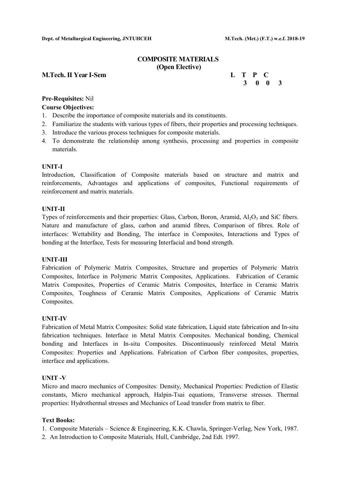#### COMPOSITE MATERIALS (Open Elective)

M.Tech. II Year I-Sem L T P C

3 0 0 3

#### Pre-Requisites: Nil

#### Course Objectives:

- 1. Describe the importance of composite materials and its constituents.
- 2. Familiarize the students with various types of fibers, their properties and processing techniques.
- 3. Introduce the various process techniques for composite materials.
- 4. To demonstrate the relationship among synthesis, processing and properties in composite materials.

#### UNIT-I

Introduction, Classification of Composite materials based on structure and matrix and reinforcements, Advantages and applications of composites, Functional requirements of reinforcement and matrix materials.

#### UNIT-II

Types of reinforcements and their properties: Glass, Carbon, Boron, Aramid,  $Al_2O_3$  and SiC fibers. Nature and manufacture of glass, carbon and aramid fibres, Comparison of fibres. Role of interfaces: Wettability and Bonding, The interface in Composites, Interactions and Types of bonding at the Interface, Tests for measuring Interfacial and bond strength.

#### UNIT-III

Fabrication of Polymeric Matrix Composites, Structure and properties of Polymeric Matrix Composites, Interface in Polymeric Matrix Composites, Applications. Fabrication of Ceramic Matrix Composites, Properties of Ceramic Matrix Composites, Interface in Ceramic Matrix Composites, Toughness of Ceramic Matrix Composites, Applications of Ceramic Matrix Composites.

#### UNIT-IV

Fabrication of Metal Matrix Composites: Solid state fabrication, Liquid state fabrication and In-situ fabrication techniques. Interface in Metal Matrix Composites. Mechanical bonding, Chemical bonding and Interfaces in In-situ Composites. Discontinuously reinforced Metal Matrix Composites: Properties and Applications. Fabrication of Carbon fiber composites, properties, interface and applications.

#### UNIT -V

Micro and macro mechanics of Composites: Density, Mechanical Properties: Prediction of Elastic constants, Micro mechanical approach, Halpin-Tsai equations, Transverse stresses. Thermal properties: Hydrothermal stresses and Mechanics of Load transfer from matrix to fiber.

#### Text Books:

1. Composite Materials – Science & Engineering, K.K. Chawla, Springer-Verlag, New York, 1987.

2. An Introduction to Composite Materials, Hull, Cambridge, 2nd Edt. 1997.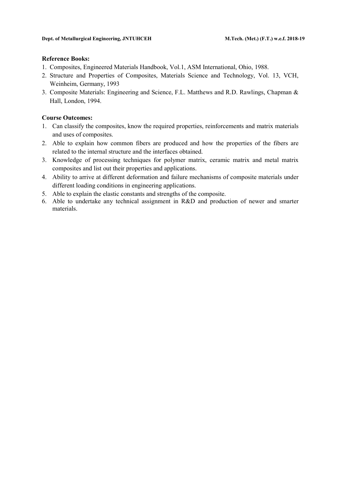#### Reference Books:

- 1. Composites, Engineered Materials Handbook, Vol.1, ASM International, Ohio, 1988.
- 2. Structure and Properties of Composites, Materials Science and Technology, Vol. 13, VCH, Weinheim, Germany, 1993
- 3. Composite Materials: Engineering and Science, F.L. Matthews and R.D. Rawlings, Chapman & Hall, London, 1994.

#### Course Outcomes:

- 1. Can classify the composites, know the required properties, reinforcements and matrix materials and uses of composites.
- 2. Able to explain how common fibers are produced and how the properties of the fibers are related to the internal structure and the interfaces obtained.
- 3. Knowledge of processing techniques for polymer matrix, ceramic matrix and metal matrix composites and list out their properties and applications.
- 4. Ability to arrive at different deformation and failure mechanisms of composite materials under different loading conditions in engineering applications.
- 5. Able to explain the elastic constants and strengths of the composite.
- 6. Able to undertake any technical assignment in R&D and production of newer and smarter materials.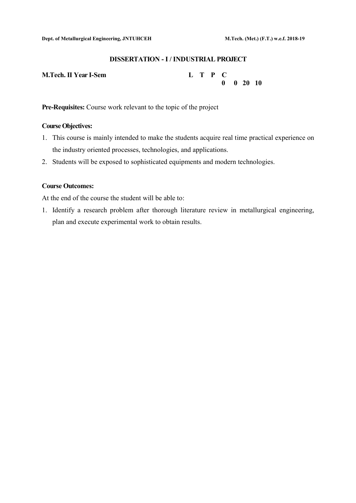#### DISSERTATION - I / INDUSTRIAL PROJECT

| <b>M.Tech. II Year I-Sem</b> | L T P C |  |  |                               |  |
|------------------------------|---------|--|--|-------------------------------|--|
|                              |         |  |  | $0 \quad 0 \quad 20 \quad 10$ |  |

Pre-Requisites: Course work relevant to the topic of the project

#### Course Objectives:

- 1. This course is mainly intended to make the students acquire real time practical experience on the industry oriented processes, technologies, and applications.
- 2. Students will be exposed to sophisticated equipments and modern technologies.

#### Course Outcomes:

At the end of the course the student will be able to:

1. Identify a research problem after thorough literature review in metallurgical engineering, plan and execute experimental work to obtain results.